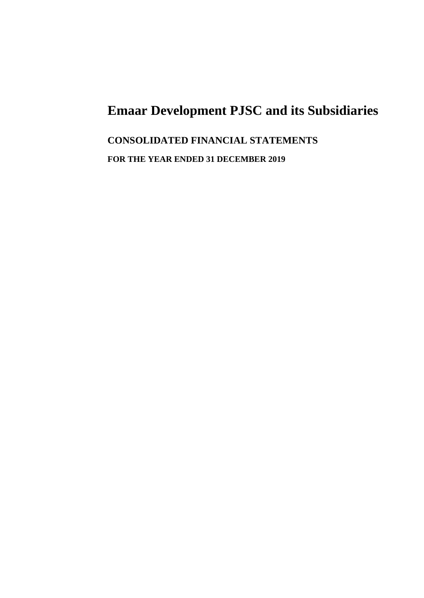**CONSOLIDATED FINANCIAL STATEMENTS FOR THE YEAR ENDED 31 DECEMBER 2019**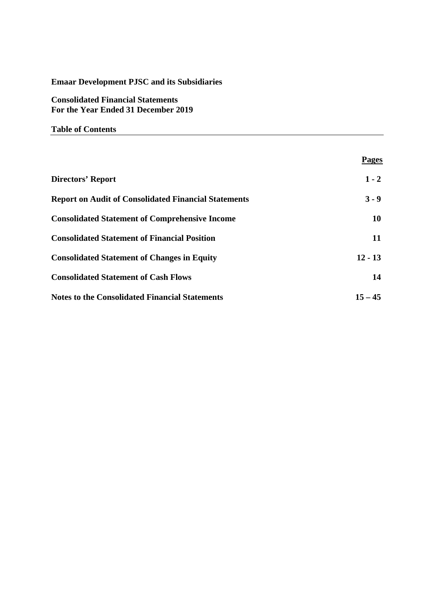**Consolidated Financial Statements For the Year Ended 31 December 2019**

**Table of Contents**

|                                                             | <b>Pages</b> |
|-------------------------------------------------------------|--------------|
| <b>Directors' Report</b>                                    | $1 - 2$      |
| <b>Report on Audit of Consolidated Financial Statements</b> | $3 - 9$      |
| <b>Consolidated Statement of Comprehensive Income</b>       | 10           |
| <b>Consolidated Statement of Financial Position</b>         | 11           |
| <b>Consolidated Statement of Changes in Equity</b>          | $12 - 13$    |
| <b>Consolidated Statement of Cash Flows</b>                 | 14           |
| <b>Notes to the Consolidated Financial Statements</b>       | $15 - 45$    |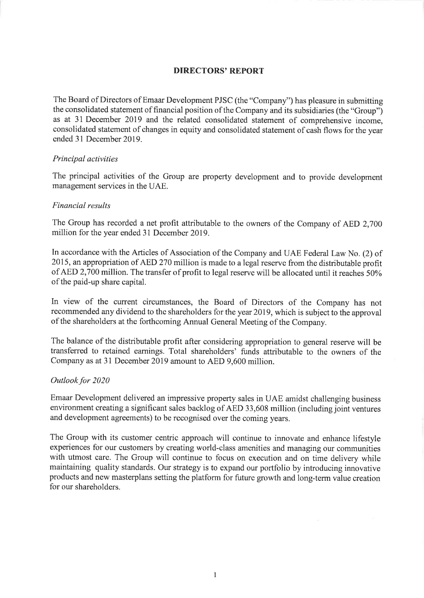## **DIRECTORS' REPORT**

The Board of Directors of Emaar Development PJSC (the "Company") has pleasure in submitting the consolidated statement of financial position of the Company and its subsidiaries (the "Group") as at 31 December 2019 and the related consolidated statement of comprehensive income. consolidated statement of changes in equity and consolidated statement of cash flows for the year ended 31 December 2019.

## Principal activities

The principal activities of the Group are property development and to provide development management services in the UAE.

## Financial results

The Group has recorded a net profit attributable to the owners of the Company of AED 2.700 million for the year ended 31 December 2019.

In accordance with the Articles of Association of the Company and UAE Federal Law No. (2) of 2015, an appropriation of AED 270 million is made to a legal reserve from the distributable profit of AED 2,700 million. The transfer of profit to legal reserve will be allocated until it reaches 50% of the paid-up share capital.

In view of the current circumstances, the Board of Directors of the Company has not recommended any dividend to the shareholders for the year 2019, which is subject to the approval of the shareholders at the forthcoming Annual General Meeting of the Company.

The balance of the distributable profit after considering appropriation to general reserve will be transferred to retained earnings. Total shareholders' funds attributable to the owners of the Company as at 31 December 2019 amount to AED 9,600 million.

## Outlook for 2020

Emaar Development delivered an impressive property sales in UAE amidst challenging business environment creating a significant sales backlog of AED 33,608 million (including joint ventures and development agreements) to be recognised over the coming years.

The Group with its customer centric approach will continue to innovate and enhance lifestyle experiences for our customers by creating world-class amenities and managing our communities with utmost care. The Group will continue to focus on execution and on time delivery while maintaining quality standards. Our strategy is to expand our portfolio by introducing innovative products and new masterplans setting the platform for future growth and long-term value creation for our shareholders.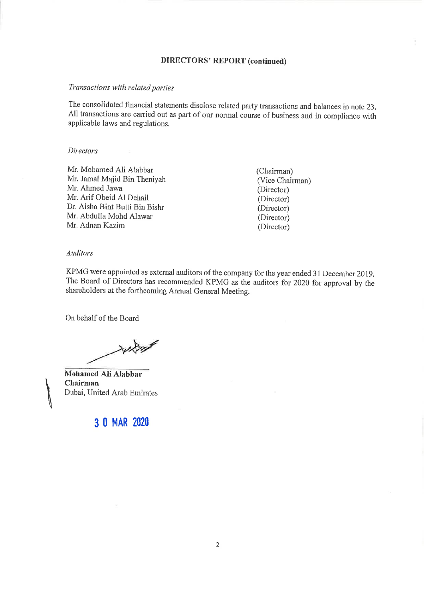#### **DIRECTORS' REPORT (continued)**

#### Transactions with related parties

The consolidated financial statements disclose related party transactions and balances in note 23. All transactions are carried out as part of our normal course of business and in compliance with applicable laws and regulations.

#### **Directors**

Mr. Mohamed Ali Alabbar Mr. Jamal Majid Bin Theniyah Mr. Ahmed Jawa Mr. Arif Obeid Al Dehail Dr. Aisha Bint Butti Bin Bishr Mr. Abdulla Mohd Alawar Mr. Adnan Kazim

(Chairman) (Vice Chairman) (Director) (Director) (Director) (Director) (Director)

#### **Auditors**

KPMG were appointed as external auditors of the company for the year ended 31 December 2019. The Board of Directors has recommended KPMG as the auditors for 2020 for approval by the shareholders at the forthcoming Annual General Meeting.

On behalf of the Board

wx

Mohamed Ali Alabbar Chairman Dubai, United Arab Emirates

3 0 MAR 2020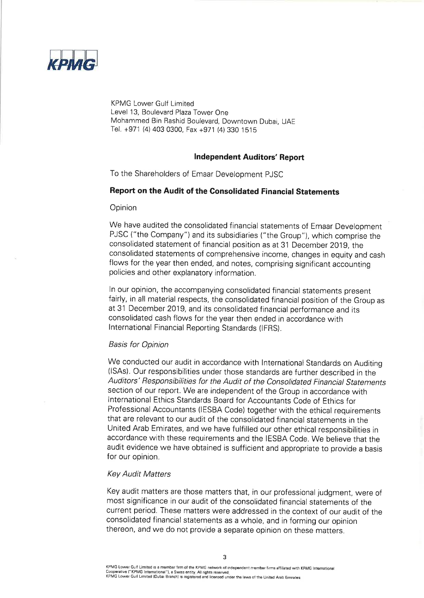

**KPMG Lower Gulf Limited** Level 13, Boulevard Plaza Tower One Mohammed Bin Rashid Boulevard, Downtown Dubai, UAE Tel. +971 (4) 403 0300, Fax +971 (4) 330 1515

## **Independent Auditors' Report**

To the Shareholders of Emaar Development PJSC

## **Report on the Audit of the Consolidated Financial Statements**

#### Opinion

We have audited the consolidated financial statements of Emaar Development PJSC ("the Company") and its subsidiaries ("the Group"), which comprise the consolidated statement of financial position as at 31 December 2019, the consolidated statements of comprehensive income, changes in equity and cash flows for the year then ended, and notes, comprising significant accounting policies and other explanatory information.

In our opinion, the accompanying consolidated financial statements present fairly, in all material respects, the consolidated financial position of the Group as at 31 December 2019, and its consolidated financial performance and its consolidated cash flows for the year then ended in accordance with International Financial Reporting Standards (IFRS).

#### **Basis for Opinion**

We conducted our audit in accordance with International Standards on Auditing (ISAs). Our responsibilities under those standards are further described in the Auditors' Responsibilities for the Audit of the Consolidated Financial Statements section of our report. We are independent of the Group in accordance with International Ethics Standards Board for Accountants Code of Ethics for Professional Accountants (IESBA Code) together with the ethical requirements that are relevant to our audit of the consolidated financial statements in the United Arab Emirates, and we have fulfilled our other ethical responsibilities in accordance with these requirements and the IESBA Code. We believe that the audit evidence we have obtained is sufficient and appropriate to provide a basis for our opinion.

#### **Key Audit Matters**

Key audit matters are those matters that, in our professional judgment, were of most significance in our audit of the consolidated financial statements of the current period. These matters were addressed in the context of our audit of the consolidated financial statements as a whole, and in forming our opinion thereon, and we do not provide a separate opinion on these matters.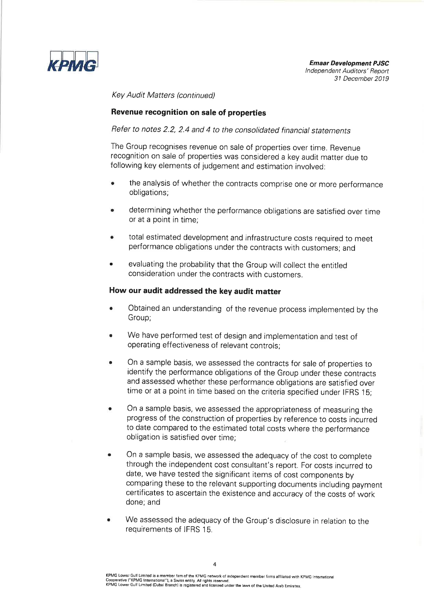

Key Audit Matters (continued)

## Revenue recognition on sale of properties

## Refer to notes 2.2, 2.4 and 4 to the consolidated financial statements

The Group recognises revenue on sale of properties over time. Revenue recognition on sale of properties was considered a key audit matter due to following key elements of judgement and estimation involved:

- the analysis of whether the contracts comprise one or more performance  $\bullet$ obligations;
- determining whether the performance obligations are satisfied over time or at a point in time:
- total estimated development and infrastructure costs required to meet performance obligations under the contracts with customers; and
- evaluating the probability that the Group will collect the entitled consideration under the contracts with customers.

## How our audit addressed the key audit matter

- Obtained an understanding of the revenue process implemented by the  $\bullet$ Group;
- We have performed test of design and implementation and test of operating effectiveness of relevant controls;
- On a sample basis, we assessed the contracts for sale of properties to  $\bullet$ identify the performance obligations of the Group under these contracts and assessed whether these performance obligations are satisfied over time or at a point in time based on the criteria specified under IFRS 15;
- On a sample basis, we assessed the appropriateness of measuring the progress of the construction of properties by reference to costs incurred to date compared to the estimated total costs where the performance obligation is satisfied over time;
- On a sample basis, we assessed the adequacy of the cost to complete through the independent cost consultant's report. For costs incurred to date, we have tested the significant items of cost components by comparing these to the relevant supporting documents including payment certificates to ascertain the existence and accuracy of the costs of work done; and
- We assessed the adequacy of the Group's disclosure in relation to the requirements of IFRS 15.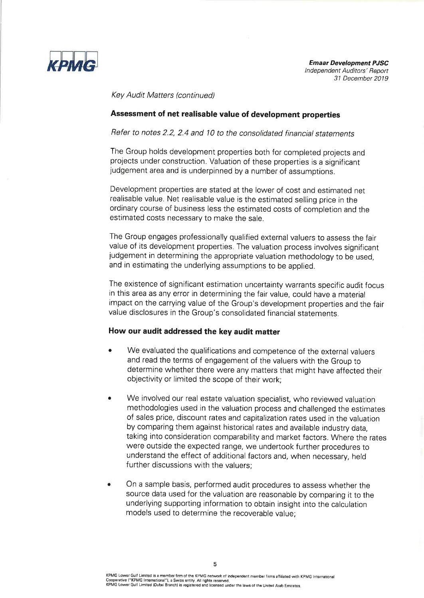

Key Audit Matters (continued)

## Assessment of net realisable value of development properties

Refer to notes 2.2, 2.4 and 10 to the consolidated financial statements

The Group holds development properties both for completed projects and projects under construction. Valuation of these properties is a significant judgement area and is underpinned by a number of assumptions.

Development properties are stated at the lower of cost and estimated net realisable value. Net realisable value is the estimated selling price in the ordinary course of business less the estimated costs of completion and the estimated costs necessary to make the sale.

The Group engages professionally qualified external valuers to assess the fair value of its development properties. The valuation process involves significant judgement in determining the appropriate valuation methodology to be used, and in estimating the underlying assumptions to be applied.

The existence of significant estimation uncertainty warrants specific audit focus in this area as any error in determining the fair value, could have a material impact on the carrying value of the Group's development properties and the fair value disclosures in the Group's consolidated financial statements.

## How our audit addressed the key audit matter

- $\bullet$ We evaluated the qualifications and competence of the external valuers and read the terms of engagement of the valuers with the Group to determine whether there were any matters that might have affected their objectivity or limited the scope of their work;
- $\bullet$ We involved our real estate valuation specialist, who reviewed valuation methodologies used in the valuation process and challenged the estimates of sales price, discount rates and capitalization rates used in the valuation by comparing them against historical rates and available industry data, taking into consideration comparability and market factors. Where the rates were outside the expected range, we undertook further procedures to understand the effect of additional factors and, when necessary, held further discussions with the valuers;
- On a sample basis, performed audit procedures to assess whether the  $\bullet$ source data used for the valuation are reasonable by comparing it to the underlying supporting information to obtain insight into the calculation models used to determine the recoverable value;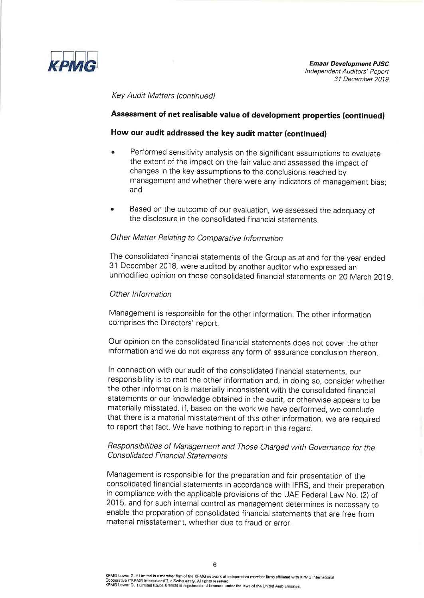

**Key Audit Matters (continued)** 

## Assessment of net realisable value of development properties (continued)

## How our audit addressed the key audit matter (continued)

- Performed sensitivity analysis on the significant assumptions to evaluate the extent of the impact on the fair value and assessed the impact of changes in the key assumptions to the conclusions reached by management and whether there were any indicators of management bias; and
- Based on the outcome of our evaluation, we assessed the adequacy of the disclosure in the consolidated financial statements.

## Other Matter Relating to Comparative Information

The consolidated financial statements of the Group as at and for the year ended 31 December 2018, were audited by another auditor who expressed an unmodified opinion on those consolidated financial statements on 20 March 2019.

## Other Information

Management is responsible for the other information. The other information comprises the Directors' report.

Our opinion on the consolidated financial statements does not cover the other information and we do not express any form of assurance conclusion thereon.

In connection with our audit of the consolidated financial statements, our responsibility is to read the other information and, in doing so, consider whether the other information is materially inconsistent with the consolidated financial statements or our knowledge obtained in the audit, or otherwise appears to be materially misstated. If, based on the work we have performed, we conclude that there is a material misstatement of this other information, we are required to report that fact. We have nothing to report in this regard.

## Responsibilities of Management and Those Charged with Governance for the **Consolidated Financial Statements**

Management is responsible for the preparation and fair presentation of the consolidated financial statements in accordance with IFRS, and their preparation in compliance with the applicable provisions of the UAE Federal Law No. (2) of 2015, and for such internal control as management determines is necessary to enable the preparation of consolidated financial statements that are free from material misstatement, whether due to fraud or error.

KPMG Lower Guif Limited is a member firm of the KPMG network of independent member firms affiliated with KPMG International<br>Cooperative ("KPMG International"), a Swiss entity. All rights reserved.<br>KPMG Lower Guif Limited (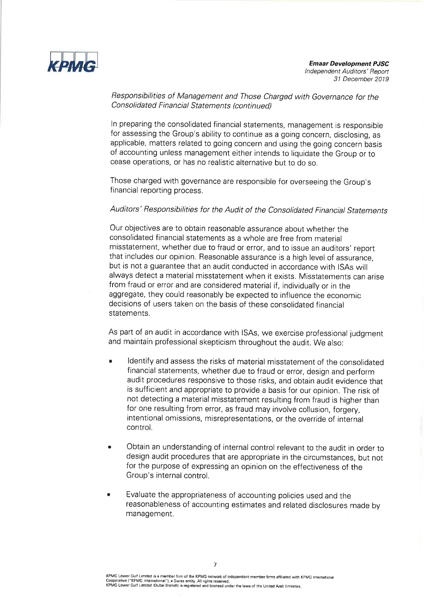

Responsibilities of Management and Those Charged with Governance for the **Consolidated Financial Statements (continued)** 

In preparing the consolidated financial statements, management is responsible for assessing the Group's ability to continue as a going concern, disclosing, as applicable, matters related to going concern and using the going concern basis of accounting unless management either intends to liquidate the Group or to cease operations, or has no realistic alternative but to do so.

Those charged with governance are responsible for overseeing the Group's financial reporting process.

## Auditors' Responsibilities for the Audit of the Consolidated Financial Statements

Our objectives are to obtain reasonable assurance about whether the consolidated financial statements as a whole are free from material misstatement, whether due to fraud or error, and to issue an auditors' report that includes our opinion. Reasonable assurance is a high level of assurance, but is not a guarantee that an audit conducted in accordance with ISAs will always detect a material misstatement when it exists. Misstatements can arise from fraud or error and are considered material if, individually or in the aggregate, they could reasonably be expected to influence the economic decisions of users taken on the basis of these consolidated financial statements.

As part of an audit in accordance with ISAs, we exercise professional judgment and maintain professional skepticism throughout the audit. We also:

- Identify and assess the risks of material misstatement of the consolidated financial statements, whether due to fraud or error, design and perform audit procedures responsive to those risks, and obtain audit evidence that is sufficient and appropriate to provide a basis for our opinion. The risk of not detecting a material misstatement resulting from fraud is higher than for one resulting from error, as fraud may involve collusion, forgery, intentional omissions, misrepresentations, or the override of internal control.
- Obtain an understanding of internal control relevant to the audit in order to design audit procedures that are appropriate in the circumstances, but not for the purpose of expressing an opinion on the effectiveness of the Group's internal control.
- Evaluate the appropriateness of accounting policies used and the reasonableness of accounting estimates and related disclosures made by management.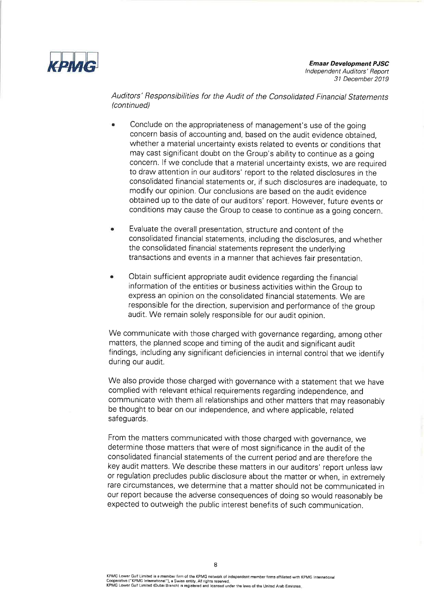

**Emaar Development PJSC** Independent Auditors' Report 31 December 2019

Auditors' Responsibilities for the Audit of the Consolidated Financial Statements (continued)

- Conclude on the appropriateness of management's use of the going concern basis of accounting and, based on the audit evidence obtained, whether a material uncertainty exists related to events or conditions that may cast significant doubt on the Group's ability to continue as a going concern. If we conclude that a material uncertainty exists, we are required to draw attention in our auditors' report to the related disclosures in the consolidated financial statements or, if such disclosures are inadequate, to modify our opinion. Our conclusions are based on the audit evidence obtained up to the date of our auditors' report. However, future events or conditions may cause the Group to cease to continue as a going concern.
- Evaluate the overall presentation, structure and content of the  $\bullet$ consolidated financial statements, including the disclosures, and whether the consolidated financial statements represent the underlying transactions and events in a manner that achieves fair presentation.
- Obtain sufficient appropriate audit evidence regarding the financial  $\bullet$ information of the entities or business activities within the Group to express an opinion on the consolidated financial statements. We are responsible for the direction, supervision and performance of the group audit. We remain solely responsible for our audit opinion.

We communicate with those charged with governance regarding, among other matters, the planned scope and timing of the audit and significant audit findings, including any significant deficiencies in internal control that we identify during our audit.

We also provide those charged with governance with a statement that we have complied with relevant ethical requirements regarding independence, and communicate with them all relationships and other matters that may reasonably be thought to bear on our independence, and where applicable, related safeguards.

From the matters communicated with those charged with governance, we determine those matters that were of most significance in the audit of the consolidated financial statements of the current period and are therefore the key audit matters. We describe these matters in our auditors' report unless law or regulation precludes public disclosure about the matter or when, in extremely rare circumstances, we determine that a matter should not be communicated in our report because the adverse consequences of doing so would reasonably be expected to outweigh the public interest benefits of such communication.

KPMG Lower Gulf Limited is a member firm of the KPMG network of independent member firms affiliated with KPMG International Cooperative ("KPMG International"), a Swiss entity. All rights reserved.<br>KPMG Lower Gulf Limited (Dubai Branch) is registered and licensed under the laws of the United Arab Emirates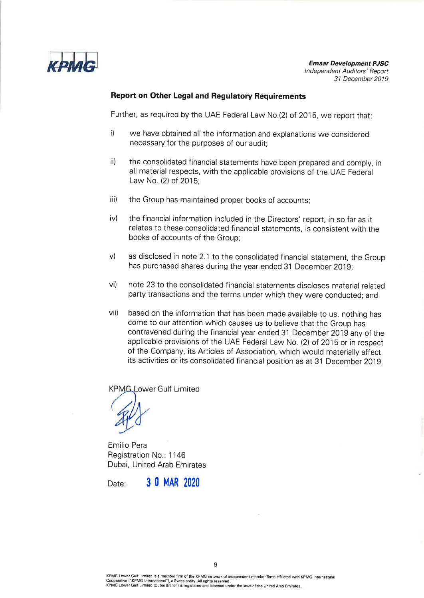

## **Report on Other Legal and Regulatory Requirements**

Further, as required by the UAE Federal Law No.(2) of 2015, we report that:

- i) we have obtained all the information and explanations we considered necessary for the purposes of our audit;
- the consolidated financial statements have been prepared and comply, in ii) all material respects, with the applicable provisions of the UAE Federal Law No. (2) of 2015;
- iii) the Group has maintained proper books of accounts;
- the financial information included in the Directors' report, in so far as it  $iv)$ relates to these consolidated financial statements, is consistent with the books of accounts of the Group:
- $V)$ as disclosed in note 2.1 to the consolidated financial statement, the Group has purchased shares during the year ended 31 December 2019:
- note 23 to the consolidated financial statements discloses material related vi) party transactions and the terms under which they were conducted; and
- based on the information that has been made available to us, nothing has vii) come to our attention which causes us to believe that the Group has contravened during the financial year ended 31 December 2019 any of the applicable provisions of the UAE Federal Law No. (2) of 2015 or in respect of the Company, its Articles of Association, which would materially affect its activities or its consolidated financial position as at 31 December 2019.

**KPMG Lower Gulf Limited** 

Emilio Pera Registration No.: 1146 Dubai, United Arab Emirates

Date:

3 0 MAR 2020

KPMG Lower Gulf Limited is a member firm of the KPMG network of independent member firms affiliated with KPMG International<br>Cooperative ("KPMG International"), a Swiss entity. All rights reserved.<br>KPMG Lower Gulf Limited (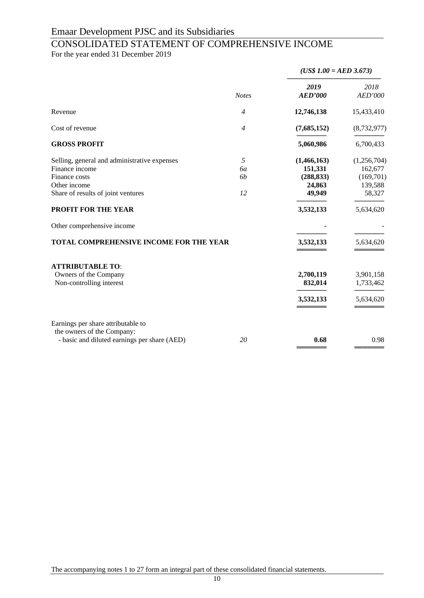# CONSOLIDATED STATEMENT OF COMPREHENSIVE INCOME

For the year ended 31 December 2019

|                                                                                                                                       |                            | $(US$ 1.00 = AED 3.673)$                                 |                                                          |
|---------------------------------------------------------------------------------------------------------------------------------------|----------------------------|----------------------------------------------------------|----------------------------------------------------------|
|                                                                                                                                       | <b>Notes</b>               | 2019<br><b>AED'000</b>                                   | 2018<br>AED'000                                          |
| Revenue                                                                                                                               | 4                          | 12,746,138                                               | 15,433,410                                               |
| Cost of revenue                                                                                                                       | $\overline{4}$             | (7,685,152)                                              | (8, 732, 977)                                            |
| <b>GROSS PROFIT</b>                                                                                                                   |                            | 5,060,986                                                | 6,700,433                                                |
| Selling, general and administrative expenses<br>Finance income<br>Finance costs<br>Other income<br>Share of results of joint ventures | 5<br>6a<br><b>6b</b><br>12 | (1,466,163)<br>151,331<br>(288, 833)<br>24,863<br>49,949 | (1,256,704)<br>162,677<br>(169,701)<br>139,588<br>58,327 |
| PROFIT FOR THE YEAR                                                                                                                   |                            | 3,532,133                                                | 5,634,620                                                |
| Other comprehensive income                                                                                                            |                            |                                                          |                                                          |
| TOTAL COMPREHENSIVE INCOME FOR THE YEAR                                                                                               |                            | 3,532,133                                                | 5,634,620                                                |
| <b>ATTRIBUTABLE TO:</b><br>Owners of the Company<br>Non-controlling interest                                                          |                            | 2,700,119<br>832,014<br>3,532,133                        | 3,901,158<br>1,733,462<br>5,634,620                      |
| Earnings per share attributable to<br>the owners of the Company:<br>- basic and diluted earnings per share (AED)                      | 20                         | 0.68                                                     | 0.98                                                     |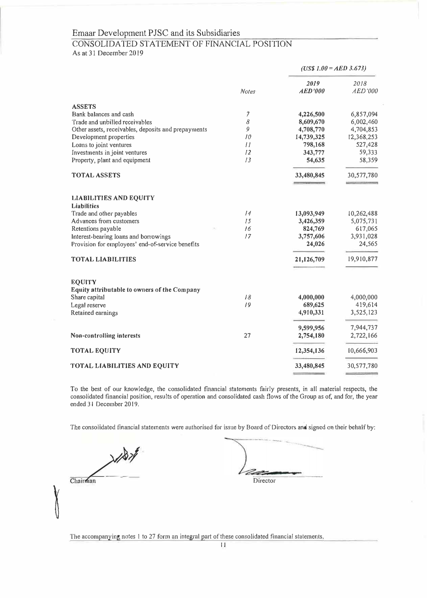## CONSOLIDATED STATEMENT OF FINANCIAL POSITION As at 31 December 2019

|                                                     |                          | $(US$ I.00 = AED 3.673)$ |                 |
|-----------------------------------------------------|--------------------------|--------------------------|-----------------|
|                                                     | <b>Notes</b>             | 2019<br><b>AED'000</b>   | 2018<br>AED'000 |
| <b>ASSETS</b>                                       |                          |                          |                 |
| Bank balances and cash                              | $\overline{\phantom{a}}$ | 4,226,500                | 6,857,094       |
| Trade and unbilled receivables                      | 8                        | 8,609,670                | 6,002,460       |
| Other assets, receivables, deposits and prepayments | 9                        | 4,708,770                | 4,704,853       |
| Development properties                              | 10 <sup>2</sup>          | 14,739,325               | 12,368,253      |
| Loans to joint ventures                             | $_{II}$                  | 798,168                  | 527,428         |
| Investments in joint ventures                       | 12                       | 343,777                  | 59,333          |
| Property, plant and equipment                       | 13                       | 54,635                   | 58,359          |
| <b>TOTAL ASSETS</b>                                 |                          | 33,480,845               | 30,577,780      |
| <b>LIABILITIES AND EQUITY</b><br><b>Liabilities</b> |                          |                          |                 |
| Trade and other payables                            | 14                       | 13,093,949               | 10,262,488      |
| Advances from customers                             | 15                       | 3,426,359                | 5,075,731       |
| Retentions payable                                  | 16                       | 824,769                  | 617,065         |
| Interest-bearing loans and borrowings               | 17                       | 3,757,606                | 3,931,028       |
| Provision for employees' end-of-service benefits    |                          | 24,026                   | 24,565          |
| <b>TOTAL LIABILITIES</b>                            |                          | 21,126,709               | 19,910,877      |
| <b>EQUITY</b>                                       |                          |                          |                 |
| Equity attributable to owners of the Company        |                          |                          |                 |
| Share capital                                       | 18                       | 4,000,000                | 4,000,000       |
| Legal reserve                                       | 19                       | 689,625                  | 419,614         |
| Retained earnings                                   |                          | 4,910,331                | 3,525,123       |
|                                                     |                          | 9,599,956                | 7,944,737       |
| <b>Non-controlling interests</b>                    | 27                       | 2,754,180                | 2,722,166       |
| <b>TOTAL EQUITY</b>                                 |                          | 12,354,136               | 10,666,903      |
| TOTAL LIABILITIES AND EQUITY                        |                          | 33,480,845               | 30,577,780      |

To the best of our knowledge, the consolidated fmancial statements fairly presents, in all material respects, the consolidated financial position, results of operation and consolidated cash flows of the Group as of, and for, the year ended 31 December 2019.

The consolidated financial statements were authorised for issue by Board of Directors and signed on their behalf by:

**Chairman** 

--------- Director

The accompanying notes I to 27 form an integral part of these consolidated financial statements.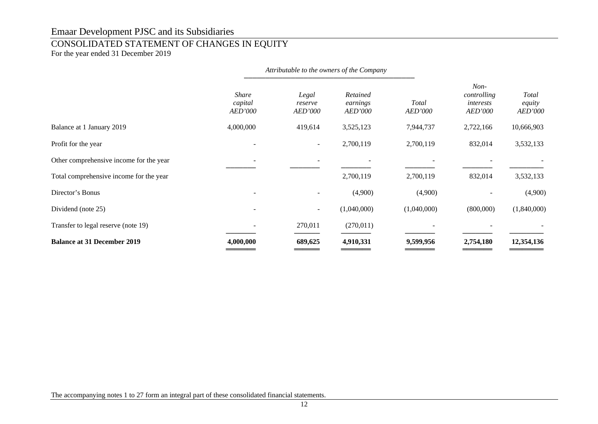# CONSOLIDATED STATEMENT OF CHANGES IN EQUITY

For the year ended 31 December 2019

|                                         |                                           |                                    | Attributable to the owners of the Company |                  |                                               |                                   |
|-----------------------------------------|-------------------------------------------|------------------------------------|-------------------------------------------|------------------|-----------------------------------------------|-----------------------------------|
|                                         | <b>Share</b><br>capital<br><b>AED'000</b> | Legal<br>reserve<br><b>AED'000</b> | Retained<br>earnings<br><b>AED'000</b>    | Total<br>AED'000 | $Non-$<br>controlling<br>interests<br>AED'000 | Total<br>equity<br><b>AED'000</b> |
| Balance at 1 January 2019               | 4,000,000                                 | 419,614                            | 3,525,123                                 | 7,944,737        | 2,722,166                                     | 10,666,903                        |
| Profit for the year                     |                                           |                                    | 2,700,119                                 | 2,700,119        | 832,014                                       | 3,532,133                         |
| Other comprehensive income for the year |                                           |                                    |                                           |                  |                                               |                                   |
| Total comprehensive income for the year |                                           |                                    | 2,700,119                                 | 2,700,119        | 832,014                                       | 3,532,133                         |
| Director's Bonus                        | $\overline{\phantom{0}}$                  |                                    | (4,900)                                   | (4,900)          |                                               | (4,900)                           |
| Dividend (note 25)                      |                                           | $\overline{\phantom{a}}$           | (1,040,000)                               | (1,040,000)      | (800,000)                                     | (1,840,000)                       |
| Transfer to legal reserve (note 19)     |                                           | 270,011                            | (270,011)                                 |                  |                                               |                                   |
| <b>Balance at 31 December 2019</b>      | 4,000,000                                 | 689,625                            | 4,910,331                                 | 9,599,956        | 2,754,180                                     | 12,354,136                        |

The accompanying notes 1 to 27 form an integral part of these consolidated financial statements.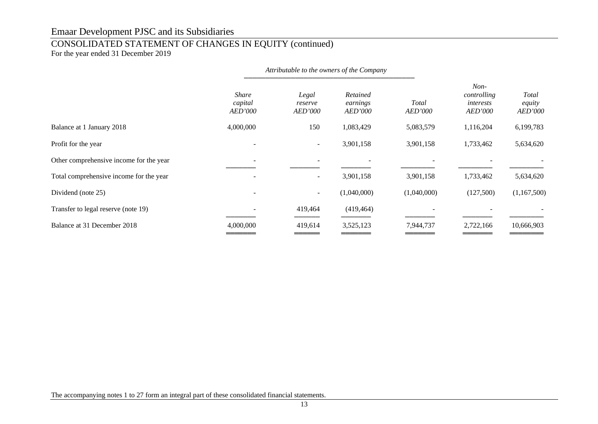# CONSOLIDATED STATEMENT OF CHANGES IN EQUITY (continued)

For the year ended 31 December 2019

|                                         | Attributable to the owners of the Company |                                    |                                        |                                |                                                      |                                   |
|-----------------------------------------|-------------------------------------------|------------------------------------|----------------------------------------|--------------------------------|------------------------------------------------------|-----------------------------------|
|                                         | <b>Share</b><br>capital<br><b>AED'000</b> | Legal<br>reserve<br><b>AED'000</b> | Retained<br>earnings<br><b>AED'000</b> | <b>Total</b><br><b>AED'000</b> | $Non-$<br>controlling<br>interests<br><b>AED'000</b> | Total<br>equity<br><b>AED'000</b> |
| Balance at 1 January 2018               | 4,000,000                                 | 150                                | 1,083,429                              | 5,083,579                      | 1,116,204                                            | 6,199,783                         |
| Profit for the year                     |                                           | $\overline{\phantom{a}}$           | 3,901,158                              | 3,901,158                      | 1,733,462                                            | 5,634,620                         |
| Other comprehensive income for the year |                                           |                                    |                                        |                                |                                                      |                                   |
| Total comprehensive income for the year |                                           |                                    | 3,901,158                              | 3,901,158                      | 1,733,462                                            | 5,634,620                         |
| Dividend (note 25)                      |                                           | $\sim$                             | (1,040,000)                            | (1,040,000)                    | (127,500)                                            | (1,167,500)                       |
| Transfer to legal reserve (note 19)     |                                           | 419,464                            | (419, 464)                             |                                |                                                      |                                   |
| Balance at 31 December 2018             | 4,000,000                                 | 419,614                            | 3,525,123                              | 7,944,737                      | 2,722,166                                            | 10,666,903                        |

The accompanying notes 1 to 27 form an integral part of these consolidated financial statements.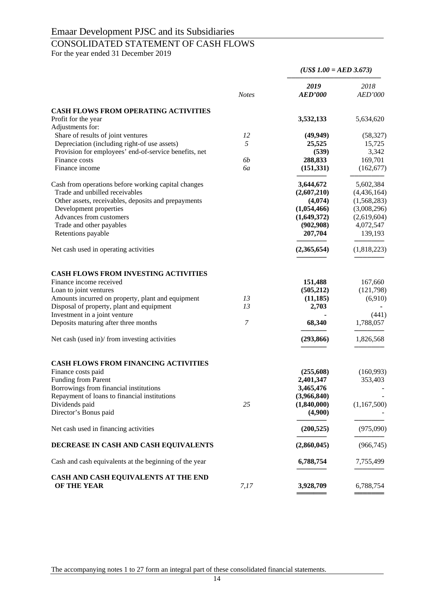# CONSOLIDATED STATEMENT OF CASH FLOWS

For the year ended 31 December 2019

|                                                        |              | $(US$ 1.00 = AED 3.673)$ |                 |
|--------------------------------------------------------|--------------|--------------------------|-----------------|
|                                                        | <b>Notes</b> | 2019<br><b>AED'000</b>   | 2018<br>AED'000 |
| <b>CASH FLOWS FROM OPERATING ACTIVITIES</b>            |              |                          |                 |
| Profit for the year                                    |              | 3,532,133                | 5,634,620       |
| Adjustments for:                                       |              |                          |                 |
| Share of results of joint ventures                     | 12           | (49, 949)                | (58, 327)       |
| Depreciation (including right-of use assets)           | 5            | 25,525                   | 15,725          |
| Provision for employees' end-of-service benefits, net  |              | (539)                    | 3,342           |
| Finance costs                                          | <b>6b</b>    | 288,833                  | 169,701         |
| Finance income                                         | 6a           | (151, 331)               | (162, 677)      |
| Cash from operations before working capital changes    |              | 3,644,672                | 5,602,384       |
| Trade and unbilled receivables                         |              | (2,607,210)              | (4,436,164)     |
| Other assets, receivables, deposits and prepayments    |              | (4,074)                  | (1,568,283)     |
| Development properties                                 |              | (1,054,466)              | (3,008,296)     |
| Advances from customers                                |              | (1,649,372)              | (2,619,604)     |
| Trade and other payables                               |              | (902,908)                | 4,072,547       |
| Retentions payable                                     |              | 207,704                  | 139,193         |
| Net cash used in operating activities                  |              | (2,365,654)              | (1,818,223)     |
| <b>CASH FLOWS FROM INVESTING ACTIVITIES</b>            |              |                          |                 |
| Finance income received                                |              | 151,488                  | 167,660         |
| Loan to joint ventures                                 |              | (505, 212)               | (121,798)       |
| Amounts incurred on property, plant and equipment      | 13           | (11, 185)                | (6,910)         |
| Disposal of property, plant and equipment              | 13           | 2,703                    |                 |
| Investment in a joint venture                          |              |                          | (441)           |
| Deposits maturing after three months                   | 7            | 68,340                   | 1,788,057       |
| Net cash (used in)/ from investing activities          |              | (293, 866)               | 1,826,568       |
| <b>CASH FLOWS FROM FINANCING ACTIVITIES</b>            |              |                          |                 |
| Finance costs paid                                     |              | (255,608)                | (160, 993)      |
| <b>Funding from Parent</b>                             |              | 2,401,347                | 353,403         |
| Borrowings from financial institutions                 |              | 3,465,476                |                 |
| Repayment of loans to financial institutions           |              | (3,966,840)              |                 |
| Dividends paid                                         | 25           | (1,840,000)              | (1,167,500)     |
| Director's Bonus paid                                  |              | (4,900)                  |                 |
| Net cash used in financing activities                  |              | (200, 525)               | (975,090)       |
| DECREASE IN CASH AND CASH EQUIVALENTS                  |              | (2,860,045)              | (966, 745)      |
| Cash and cash equivalents at the beginning of the year |              | 6,788,754                | 7,755,499       |
| CASH AND CASH EQUIVALENTS AT THE END<br>OF THE YEAR    | 7,17         | 3,928,709                | 6,788,754       |
|                                                        |              |                          |                 |

The accompanying notes 1 to 27 form an integral part of these consolidated financial statements.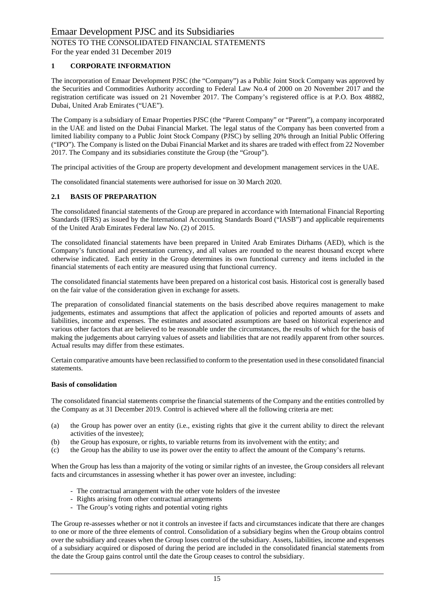# NOTES TO THE CONSOLIDATED FINANCIAL STATEMENTS

For the year ended 31 December 2019

## **1 CORPORATE INFORMATION**

The incorporation of Emaar Development PJSC (the "Company") as a Public Joint Stock Company was approved by the Securities and Commodities Authority according to Federal Law No.4 of 2000 on 20 November 2017 and the registration certificate was issued on 21 November 2017. The Company's registered office is at P.O. Box 48882, Dubai, United Arab Emirates ("UAE").

The Company is a subsidiary of Emaar Properties PJSC (the "Parent Company" or "Parent"), a company incorporated in the UAE and listed on the Dubai Financial Market. The legal status of the Company has been converted from a limited liability company to a Public Joint Stock Company (PJSC) by selling 20% through an Initial Public Offering ("IPO"). The Company is listed on the Dubai Financial Market and its shares are traded with effect from 22 November 2017. The Company and its subsidiaries constitute the Group (the "Group").

The principal activities of the Group are property development and development management services in the UAE.

The consolidated financial statements were authorised for issue on 30 March 2020.

## **2.1 BASIS OF PREPARATION**

The consolidated financial statements of the Group are prepared in accordance with International Financial Reporting Standards (IFRS) as issued by the International Accounting Standards Board ("IASB") and applicable requirements of the United Arab Emirates Federal law No. (2) of 2015.

The consolidated financial statements have been prepared in United Arab Emirates Dirhams (AED), which is the Company's functional and presentation currency, and all values are rounded to the nearest thousand except where otherwise indicated. Each entity in the Group determines its own functional currency and items included in the financial statements of each entity are measured using that functional currency.

The consolidated financial statements have been prepared on a historical cost basis. Historical cost is generally based on the fair value of the consideration given in exchange for assets.

The preparation of consolidated financial statements on the basis described above requires management to make judgements, estimates and assumptions that affect the application of policies and reported amounts of assets and liabilities, income and expenses. The estimates and associated assumptions are based on historical experience and various other factors that are believed to be reasonable under the circumstances, the results of which for the basis of making the judgements about carrying values of assets and liabilities that are not readily apparent from other sources. Actual results may differ from these estimates.

Certain comparative amounts have been reclassified to conform to the presentation used in these consolidated financial statements.

#### **Basis of consolidation**

The consolidated financial statements comprise the financial statements of the Company and the entities controlled by the Company as at 31 December 2019. Control is achieved where all the following criteria are met:

- (a) the Group has power over an entity (i.e., existing rights that give it the current ability to direct the relevant activities of the investee);
- (b) the Group has exposure, or rights, to variable returns from its involvement with the entity; and
- (c) the Group has the ability to use its power over the entity to affect the amount of the Company's returns.

When the Group has less than a majority of the voting or similar rights of an investee, the Group considers all relevant facts and circumstances in assessing whether it has power over an investee, including:

- The contractual arrangement with the other vote holders of the investee
- Rights arising from other contractual arrangements
- The Group's voting rights and potential voting rights

The Group re-assesses whether or not it controls an investee if facts and circumstances indicate that there are changes to one or more of the three elements of control. Consolidation of a subsidiary begins when the Group obtains control over the subsidiary and ceases when the Group loses control of the subsidiary. Assets, liabilities, income and expenses of a subsidiary acquired or disposed of during the period are included in the consolidated financial statements from the date the Group gains control until the date the Group ceases to control the subsidiary.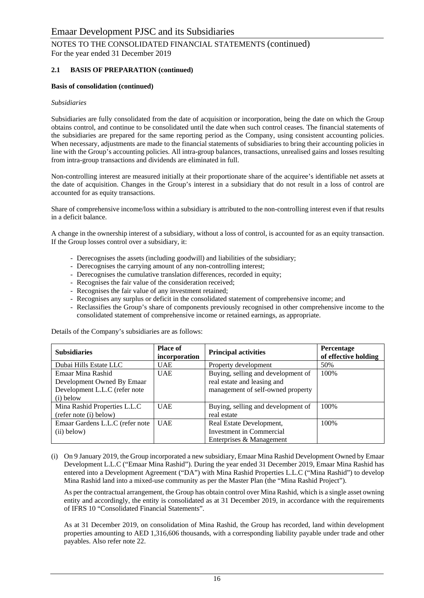## **2.1 BASIS OF PREPARATION (continued)**

## **Basis of consolidation (continued)**

## *Subsidiaries*

Subsidiaries are fully consolidated from the date of acquisition or incorporation, being the date on which the Group obtains control, and continue to be consolidated until the date when such control ceases. The financial statements of the subsidiaries are prepared for the same reporting period as the Company, using consistent accounting policies. When necessary, adjustments are made to the financial statements of subsidiaries to bring their accounting policies in line with the Group's accounting policies. All intra-group balances, transactions, unrealised gains and losses resulting from intra-group transactions and dividends are eliminated in full.

Non-controlling interest are measured initially at their proportionate share of the acquiree's identifiable net assets at the date of acquisition. Changes in the Group's interest in a subsidiary that do not result in a loss of control are accounted for as equity transactions.

Share of comprehensive income/loss within a subsidiary is attributed to the non-controlling interest even if that results in a deficit balance.

A change in the ownership interest of a subsidiary, without a loss of control, is accounted for as an equity transaction. If the Group losses control over a subsidiary, it:

- Derecognises the assets (including goodwill) and liabilities of the subsidiary;
- Derecognises the carrying amount of any non-controlling interest;
- Derecognises the cumulative translation differences, recorded in equity;
- Recognises the fair value of the consideration received;
- Recognises the fair value of any investment retained;
- Recognises any surplus or deficit in the consolidated statement of comprehensive income; and
- Reclassifies the Group's share of components previously recognised in other comprehensive income to the consolidated statement of comprehensive income or retained earnings, as appropriate.

Details of the Company's subsidiaries are as follows:

| <b>Subsidiaries</b>                                                                           | <b>Place of</b><br>incorporation | <b>Principal activities</b>                                                                            | <b>Percentage</b><br>of effective holding |
|-----------------------------------------------------------------------------------------------|----------------------------------|--------------------------------------------------------------------------------------------------------|-------------------------------------------|
| Dubai Hills Estate LLC                                                                        | <b>UAE</b>                       | Property development                                                                                   | 50%                                       |
| Emaar Mina Rashid<br>Development Owned By Emaar<br>Development L.L.C (refer note<br>(i) below | <b>UAE</b>                       | Buying, selling and development of<br>real estate and leasing and<br>management of self-owned property | 100%                                      |
| Mina Rashid Properties L.L.C<br>(refer note (i) below)                                        | <b>UAE</b>                       | Buying, selling and development of<br>real estate                                                      | 100\%                                     |
| Emaar Gardens L.L.C (refer note<br>$(ii)$ below)                                              | <b>UAE</b>                       | Real Estate Development,<br>Investment in Commercial<br>Enterprises & Management                       | 100\%                                     |

(i) On 9 January 2019, the Group incorporated a new subsidiary, Emaar Mina Rashid Development Owned by Emaar Development L.L.C ("Emaar Mina Rashid"). During the year ended 31 December 2019, Emaar Mina Rashid has entered into a Development Agreement ("DA") with Mina Rashid Properties L.L.C ("Mina Rashid") to develop Mina Rashid land into a mixed-use community as per the Master Plan (the "Mina Rashid Project").

As per the contractual arrangement, the Group has obtain control over Mina Rashid, which is a single asset owning entity and accordingly, the entity is consolidated as at 31 December 2019, in accordance with the requirements of IFRS 10 "Consolidated Financial Statements".

As at 31 December 2019, on consolidation of Mina Rashid, the Group has recorded, land within development properties amounting to AED 1,316,606 thousands, with a corresponding liability payable under trade and other payables. Also refer note 22.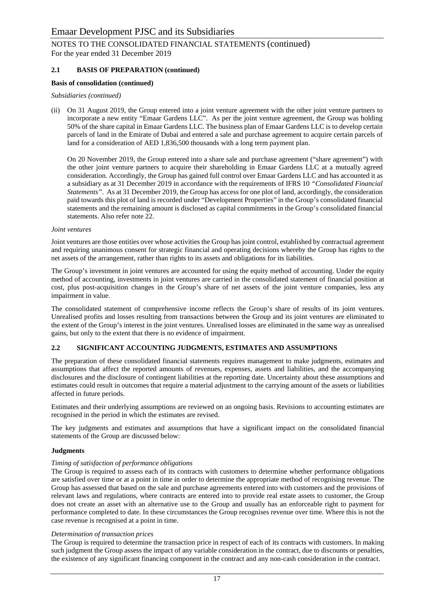## **2.1 BASIS OF PREPARATION (continued)**

## **Basis of consolidation (continued)**

## *Subsidiaries (continued)*

(ii) On 31 August 2019, the Group entered into a joint venture agreement with the other joint venture partners to incorporate a new entity "Emaar Gardens LLC". As per the joint venture agreement, the Group was holding 50% of the share capital in Emaar Gardens LLC. The business plan of Emaar Gardens LLC is to develop certain parcels of land in the Emirate of Dubai and entered a sale and purchase agreement to acquire certain parcels of land for a consideration of AED 1,836,500 thousands with a long term payment plan.

On 20 November 2019, the Group entered into a share sale and purchase agreement ("share agreement") with the other joint venture partners to acquire their shareholding in Emaar Gardens LLC at a mutually agreed consideration. Accordingly, the Group has gained full control over Emaar Gardens LLC and has accounted it as a subsidiary as at 31 December 2019 in accordance with the requirements of IFRS 10 *"Consolidated Financial Statements"*. As at 31 December 2019, the Group has access for one plot of land, accordingly, the consideration paid towards this plot of land is recorded under "Development Properties" in the Group's consolidated financial statements and the remaining amount is disclosed as capital commitments in the Group's consolidated financial statements. Also refer note 22.

#### *Joint ventures*

Joint ventures are those entities over whose activities the Group has joint control, established by contractual agreement and requiring unanimous consent for strategic financial and operating decisions whereby the Group has rights to the net assets of the arrangement, rather than rights to its assets and obligations for its liabilities.

The Group's investment in joint ventures are accounted for using the equity method of accounting. Under the equity method of accounting, investments in joint ventures are carried in the consolidated statement of financial position at cost, plus post-acquisition changes in the Group's share of net assets of the joint venture companies, less any impairment in value.

The consolidated statement of comprehensive income reflects the Group's share of results of its joint ventures. Unrealised profits and losses resulting from transactions between the Group and its joint ventures are eliminated to the extent of the Group's interest in the joint ventures. Unrealised losses are eliminated in the same way as unrealised gains, but only to the extent that there is no evidence of impairment.

## **2.2 SIGNIFICANT ACCOUNTING JUDGMENTS, ESTIMATES AND ASSUMPTIONS**

The preparation of these consolidated financial statements requires management to make judgments, estimates and assumptions that affect the reported amounts of revenues, expenses, assets and liabilities, and the accompanying disclosures and the disclosure of contingent liabilities at the reporting date. Uncertainty about these assumptions and estimates could result in outcomes that require a material adjustment to the carrying amount of the assets or liabilities affected in future periods.

Estimates and their underlying assumptions are reviewed on an ongoing basis. Revisions to accounting estimates are recognised in the period in which the estimates are revised.

The key judgments and estimates and assumptions that have a significant impact on the consolidated financial statements of the Group are discussed below:

## **Judgments**

## *Timing of satisfaction of performance obligations*

The Group is required to assess each of its contracts with customers to determine whether performance obligations are satisfied over time or at a point in time in order to determine the appropriate method of recognising revenue. The Group has assessed that based on the sale and purchase agreements entered into with customers and the provisions of relevant laws and regulations, where contracts are entered into to provide real estate assets to customer, the Group does not create an asset with an alternative use to the Group and usually has an enforceable right to payment for performance completed to date. In these circumstances the Group recognises revenue over time. Where this is not the case revenue is recognised at a point in time.

## *Determination of transaction prices*

The Group is required to determine the transaction price in respect of each of its contracts with customers. In making such judgment the Group assess the impact of any variable consideration in the contract, due to discounts or penalties, the existence of any significant financing component in the contract and any non-cash consideration in the contract.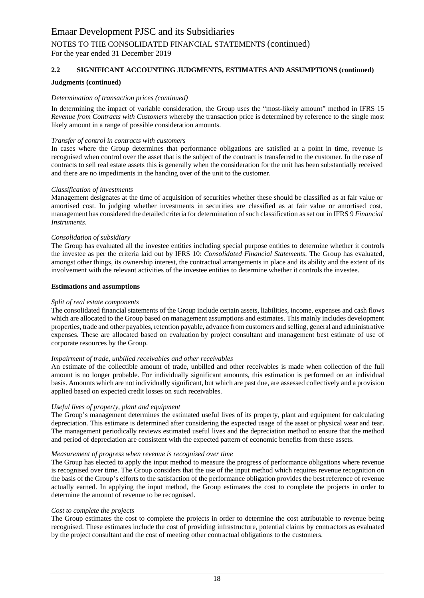## **2.2 SIGNIFICANT ACCOUNTING JUDGMENTS, ESTIMATES AND ASSUMPTIONS (continued)**

## **Judgments (continued)**

## *Determination of transaction prices (continued)*

In determining the impact of variable consideration, the Group uses the "most-likely amount" method in IFRS 15 *Revenue from Contracts with Customers* whereby the transaction price is determined by reference to the single most likely amount in a range of possible consideration amounts.

## *Transfer of control in contracts with customers*

In cases where the Group determines that performance obligations are satisfied at a point in time, revenue is recognised when control over the asset that is the subject of the contract is transferred to the customer. In the case of contracts to sell real estate assets this is generally when the consideration for the unit has been substantially received and there are no impediments in the handing over of the unit to the customer.

## *Classification of investments*

Management designates at the time of acquisition of securities whether these should be classified as at fair value or amortised cost. In judging whether investments in securities are classified as at fair value or amortised cost, management has considered the detailed criteria for determination of such classification as set out in IFRS 9 *Financial Instruments*.

## *Consolidation of subsidiary*

The Group has evaluated all the investee entities including special purpose entities to determine whether it controls the investee as per the criteria laid out by IFRS 10: *Consolidated Financial Statements*. The Group has evaluated, amongst other things, its ownership interest, the contractual arrangements in place and its ability and the extent of its involvement with the relevant activities of the investee entities to determine whether it controls the investee.

#### **Estimations and assumptions**

#### *Split of real estate components*

The consolidated financial statements of the Group include certain assets, liabilities, income, expenses and cash flows which are allocated to the Group based on management assumptions and estimates. This mainly includes development properties, trade and other payables, retention payable, advance from customers and selling, general and administrative expenses. These are allocated based on evaluation by project consultant and management best estimate of use of corporate resources by the Group.

#### *Impairment of trade, unbilled receivables and other receivables*

An estimate of the collectible amount of trade, unbilled and other receivables is made when collection of the full amount is no longer probable. For individually significant amounts, this estimation is performed on an individual basis. Amounts which are not individually significant, but which are past due, are assessed collectively and a provision applied based on expected credit losses on such receivables.

#### *Useful lives of property, plant and equipment*

The Group's management determines the estimated useful lives of its property, plant and equipment for calculating depreciation. This estimate is determined after considering the expected usage of the asset or physical wear and tear. The management periodically reviews estimated useful lives and the depreciation method to ensure that the method and period of depreciation are consistent with the expected pattern of economic benefits from these assets.

#### *Measurement of progress when revenue is recognised over time*

The Group has elected to apply the input method to measure the progress of performance obligations where revenue is recognised over time. The Group considers that the use of the input method which requires revenue recognition on the basis of the Group's efforts to the satisfaction of the performance obligation provides the best reference of revenue actually earned. In applying the input method, the Group estimates the cost to complete the projects in order to determine the amount of revenue to be recognised.

## *Cost to complete the projects*

The Group estimates the cost to complete the projects in order to determine the cost attributable to revenue being recognised. These estimates include the cost of providing infrastructure, potential claims by contractors as evaluated by the project consultant and the cost of meeting other contractual obligations to the customers.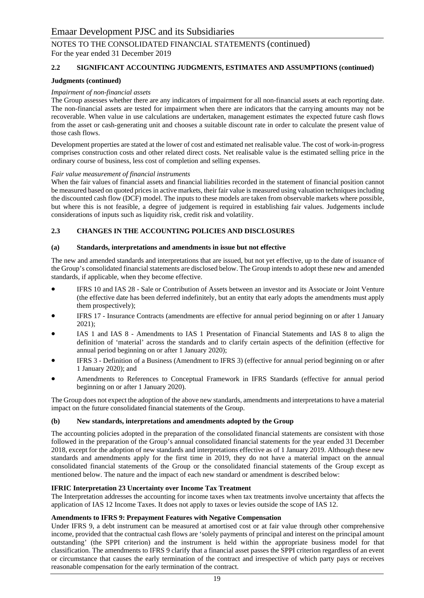## **2.2 SIGNIFICANT ACCOUNTING JUDGMENTS, ESTIMATES AND ASSUMPTIONS (continued)**

## **Judgments (continued)**

#### *Impairment of non-financial assets*

The Group assesses whether there are any indicators of impairment for all non-financial assets at each reporting date. The non-financial assets are tested for impairment when there are indicators that the carrying amounts may not be recoverable. When value in use calculations are undertaken, management estimates the expected future cash flows from the asset or cash-generating unit and chooses a suitable discount rate in order to calculate the present value of those cash flows.

Development properties are stated at the lower of cost and estimated net realisable value. The cost of work-in-progress comprises construction costs and other related direct costs. Net realisable value is the estimated selling price in the ordinary course of business, less cost of completion and selling expenses.

## *Fair value measurement of financial instruments*

When the fair values of financial assets and financial liabilities recorded in the statement of financial position cannot be measured based on quoted prices in active markets, their fair value is measured using valuation techniques including the discounted cash flow (DCF) model. The inputs to these models are taken from observable markets where possible, but where this is not feasible, a degree of judgement is required in establishing fair values. Judgements include considerations of inputs such as liquidity risk, credit risk and volatility.

## **2.3 CHANGES IN THE ACCOUNTING POLICIES AND DISCLOSURES**

## **(a) Standards, interpretations and amendments in issue but not effective**

The new and amended standards and interpretations that are issued, but not yet effective, up to the date of issuance of the Group's consolidated financial statements are disclosed below. The Group intends to adopt these new and amended standards, if applicable, when they become effective.

- IFRS 10 and IAS 28 Sale or Contribution of Assets between an investor and its Associate or Joint Venture (the effective date has been deferred indefinitely, but an entity that early adopts the amendments must apply them prospectively);
- IFRS 17 Insurance Contracts (amendments are effective for annual period beginning on or after 1 January 2021);
- IAS 1 and IAS 8 Amendments to IAS 1 Presentation of Financial Statements and IAS 8 to align the definition of 'material' across the standards and to clarify certain aspects of the definition (effective for annual period beginning on or after 1 January 2020);
- IFRS 3 Definition of a Business (Amendment to IFRS 3) (effective for annual period beginning on or after 1 January 2020); and
- Amendments to References to Conceptual Framework in IFRS Standards (effective for annual period beginning on or after 1 January 2020).

The Group does not expect the adoption of the above new standards, amendments and interpretations to have a material impact on the future consolidated financial statements of the Group.

## **(b) New standards, interpretations and amendments adopted by the Group**

The accounting policies adopted in the preparation of the consolidated financial statements are consistent with those followed in the preparation of the Group's annual consolidated financial statements for the year ended 31 December 2018, except for the adoption of new standards and interpretations effective as of 1 January 2019. Although these new standards and amendments apply for the first time in 2019, they do not have a material impact on the annual consolidated financial statements of the Group or the consolidated financial statements of the Group except as mentioned below. The nature and the impact of each new standard or amendment is described below:

#### **IFRIC Interpretation 23 Uncertainty over Income Tax Treatment**

The Interpretation addresses the accounting for income taxes when tax treatments involve uncertainty that affects the application of IAS 12 Income Taxes. It does not apply to taxes or levies outside the scope of IAS 12.

#### **Amendments to IFRS 9: Prepayment Features with Negative Compensation**

Under IFRS 9, a debt instrument can be measured at amortised cost or at fair value through other comprehensive income, provided that the contractual cash flows are 'solely payments of principal and interest on the principal amount outstanding' (the SPPI criterion) and the instrument is held within the appropriate business model for that classification. The amendments to IFRS 9 clarify that a financial asset passes the SPPI criterion regardless of an event or circumstance that causes the early termination of the contract and irrespective of which party pays or receives reasonable compensation for the early termination of the contract.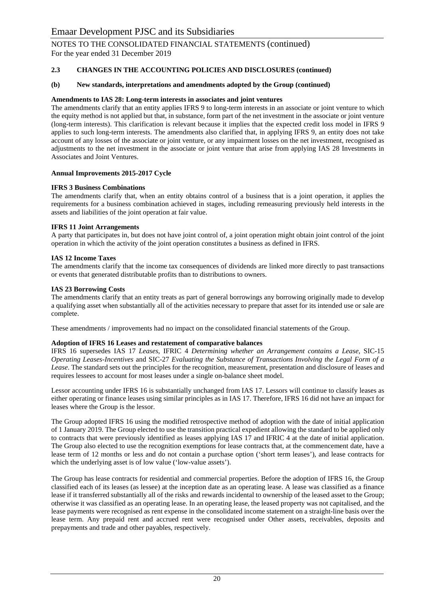## **2.3 CHANGES IN THE ACCOUNTING POLICIES AND DISCLOSURES (continued)**

## **(b) New standards, interpretations and amendments adopted by the Group (continued)**

## **Amendments to IAS 28: Long-term interests in associates and joint ventures**

The amendments clarify that an entity applies IFRS 9 to long-term interests in an associate or joint venture to which the equity method is not applied but that, in substance, form part of the net investment in the associate or joint venture (long-term interests). This clarification is relevant because it implies that the expected credit loss model in IFRS 9 applies to such long-term interests. The amendments also clarified that, in applying IFRS 9, an entity does not take account of any losses of the associate or joint venture, or any impairment losses on the net investment, recognised as adjustments to the net investment in the associate or joint venture that arise from applying IAS 28 Investments in Associates and Joint Ventures.

## **Annual Improvements 2015-2017 Cycle**

## **IFRS 3 Business Combinations**

The amendments clarify that, when an entity obtains control of a business that is a joint operation, it applies the requirements for a business combination achieved in stages, including remeasuring previously held interests in the assets and liabilities of the joint operation at fair value.

## **IFRS 11 Joint Arrangements**

A party that participates in, but does not have joint control of, a joint operation might obtain joint control of the joint operation in which the activity of the joint operation constitutes a business as defined in IFRS.

## **IAS 12 Income Taxes**

The amendments clarify that the income tax consequences of dividends are linked more directly to past transactions or events that generated distributable profits than to distributions to owners.

## **IAS 23 Borrowing Costs**

The amendments clarify that an entity treats as part of general borrowings any borrowing originally made to develop a qualifying asset when substantially all of the activities necessary to prepare that asset for its intended use or sale are complete.

These amendments / improvements had no impact on the consolidated financial statements of the Group.

#### **Adoption of IFRS 16 Leases and restatement of comparative balances**

IFRS 16 supersedes IAS 17 *Leases*, IFRIC 4 *Determining whether an Arrangement contains a Lease*, SIC-15 *Operating Leases-Incentives* and SIC-27 *Evaluating the Substance of Transactions Involving the Legal Form of a Lease*. The standard sets out the principles for the recognition, measurement, presentation and disclosure of leases and requires lessees to account for most leases under a single on-balance sheet model.

Lessor accounting under IFRS 16 is substantially unchanged from IAS 17. Lessors will continue to classify leases as either operating or finance leases using similar principles as in IAS 17. Therefore, IFRS 16 did not have an impact for leases where the Group is the lessor.

The Group adopted IFRS 16 using the modified retrospective method of adoption with the date of initial application of 1 January 2019. The Group elected to use the transition practical expedient allowing the standard to be applied only to contracts that were previously identified as leases applying IAS 17 and IFRIC 4 at the date of initial application. The Group also elected to use the recognition exemptions for lease contracts that, at the commencement date, have a lease term of 12 months or less and do not contain a purchase option ('short term leases'), and lease contracts for which the underlying asset is of low value ('low-value assets').

The Group has lease contracts for residential and commercial properties. Before the adoption of IFRS 16, the Group classified each of its leases (as lessee) at the inception date as an operating lease. A lease was classified as a finance lease if it transferred substantially all of the risks and rewards incidental to ownership of the leased asset to the Group; otherwise it was classified as an operating lease. In an operating lease, the leased property was not capitalised, and the lease payments were recognised as rent expense in the consolidated income statement on a straight-line basis over the lease term. Any prepaid rent and accrued rent were recognised under Other assets, receivables, deposits and prepayments and trade and other payables, respectively.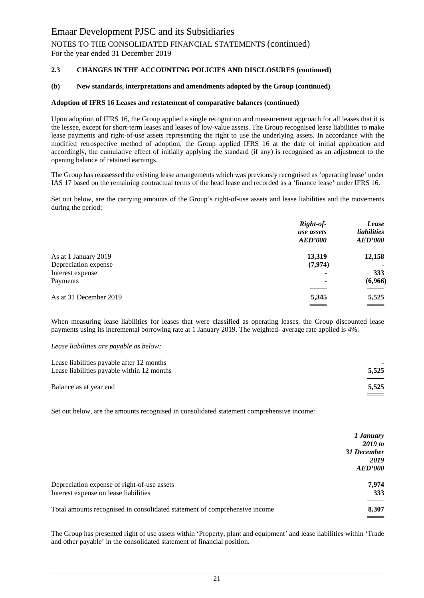## **2.3 CHANGES IN THE ACCOUNTING POLICIES AND DISCLOSURES (continued)**

## **(b) New standards, interpretations and amendments adopted by the Group (continued)**

## **Adoption of IFRS 16 Leases and restatement of comparative balances (continued)**

Upon adoption of IFRS 16, the Group applied a single recognition and measurement approach for all leases that it is the lessee, except for short-term leases and leases of low-value assets. The Group recognised lease liabilities to make lease payments and right-of-use assets representing the right to use the underlying assets. In accordance with the modified retrospective method of adoption, the Group applied IFRS 16 at the date of initial application and accordingly, the cumulative effect of initially applying the standard (if any) is recognised as an adjustment to the opening balance of retained earnings.

The Group has reassessed the existing lease arrangements which was previously recognised as 'operating lease' under IAS 17 based on the remaining contractual terms of the head lease and recorded as a 'finance lease' under IFRS 16.

Set out below, are the carrying amounts of the Group's right-of-use assets and lease liabilities and the movements during the period:

| Right-of-<br>Lease<br>liabilities<br>use assets<br>AED'000<br>AED'000 |                        |
|-----------------------------------------------------------------------|------------------------|
| 12,158<br>13,319                                                      | As at 1 January 2019   |
| (7, 974)                                                              | Depreciation expense   |
| 333                                                                   | Interest expense       |
| (6,966)<br>۰                                                          | Payments               |
| 5,525<br>5,345                                                        | As at 31 December 2019 |
|                                                                       |                        |

When measuring lease liabilities for leases that were classified as operating leases, the Group discounted lease payments using its incremental borrowing rate at 1 January 2019. The weighted- average rate applied is 4%.

#### *Lease liabilities are payable as below:*

| Lease liabilities payable after 12 months  |                                      |
|--------------------------------------------|--------------------------------------|
| Lease liabilities payable within 12 months | 5.525                                |
| Balance as at year end                     | _____<br>5.525<br>$\hspace{.05cm} =$ |

Set out below, are the amounts recognised in consolidated statement comprehensive income:

|                                                                            | 1 January<br>2019 to |
|----------------------------------------------------------------------------|----------------------|
|                                                                            | 31 December          |
|                                                                            | 2019                 |
|                                                                            | AED'000              |
| Depreciation expense of right-of-use assets                                | 7,974                |
| Interest expense on lease liabilities                                      | 333                  |
| Total amounts recognised in consolidated statement of comprehensive income | 8,307                |
|                                                                            |                      |

The Group has presented right of use assets within 'Property, plant and equipment' and lease liabilities within 'Trade and other payable' in the consolidated statement of financial position.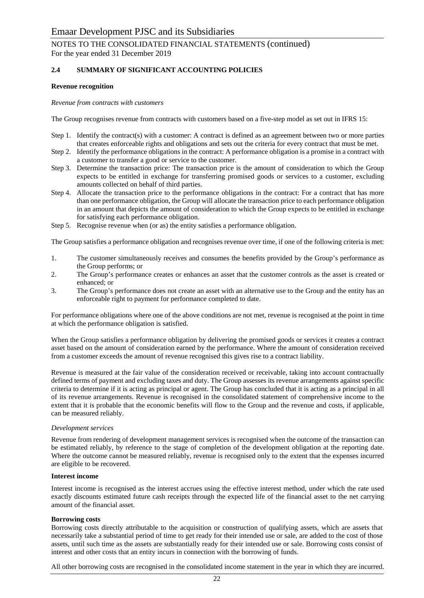## **2.4 SUMMARY OF SIGNIFICANT ACCOUNTING POLICIES**

#### **Revenue recognition**

*Revenue from contracts with customers*

The Group recognises revenue from contracts with customers based on a five-step model as set out in IFRS 15:

- Step 1. Identify the contract(s) with a customer: A contract is defined as an agreement between two or more parties that creates enforceable rights and obligations and sets out the criteria for every contract that must be met.
- Step 2. Identify the performance obligations in the contract: A performance obligation is a promise in a contract with a customer to transfer a good or service to the customer.
- Step 3. Determine the transaction price: The transaction price is the amount of consideration to which the Group expects to be entitled in exchange for transferring promised goods or services to a customer, excluding amounts collected on behalf of third parties.
- Step 4. Allocate the transaction price to the performance obligations in the contract: For a contract that has more than one performance obligation, the Group will allocate the transaction price to each performance obligation in an amount that depicts the amount of consideration to which the Group expects to be entitled in exchange for satisfying each performance obligation.
- Step 5. Recognise revenue when (or as) the entity satisfies a performance obligation.

The Group satisfies a performance obligation and recognises revenue over time, if one of the following criteria is met:

- 1. The customer simultaneously receives and consumes the benefits provided by the Group's performance as the Group performs; or
- 2. The Group's performance creates or enhances an asset that the customer controls as the asset is created or enhanced; or
- 3. The Group's performance does not create an asset with an alternative use to the Group and the entity has an enforceable right to payment for performance completed to date.

For performance obligations where one of the above conditions are not met, revenue is recognised at the point in time at which the performance obligation is satisfied.

When the Group satisfies a performance obligation by delivering the promised goods or services it creates a contract asset based on the amount of consideration earned by the performance. Where the amount of consideration received from a customer exceeds the amount of revenue recognised this gives rise to a contract liability.

Revenue is measured at the fair value of the consideration received or receivable, taking into account contractually defined terms of payment and excluding taxes and duty. The Group assesses its revenue arrangements against specific criteria to determine if it is acting as principal or agent. The Group has concluded that it is acting as a principal in all of its revenue arrangements. Revenue is recognised in the consolidated statement of comprehensive income to the extent that it is probable that the economic benefits will flow to the Group and the revenue and costs, if applicable, can be measured reliably.

#### *Development services*

Revenue from rendering of development management services is recognised when the outcome of the transaction can be estimated reliably, by reference to the stage of completion of the development obligation at the reporting date. Where the outcome cannot be measured reliably, revenue is recognised only to the extent that the expenses incurred are eligible to be recovered.

#### **Interest income**

Interest income is recognised as the interest accrues using the effective interest method, under which the rate used exactly discounts estimated future cash receipts through the expected life of the financial asset to the net carrying amount of the financial asset.

#### **Borrowing costs**

Borrowing costs directly attributable to the acquisition or construction of qualifying assets, which are assets that necessarily take a substantial period of time to get ready for their intended use or sale, are added to the cost of those assets, until such time as the assets are substantially ready for their intended use or sale. Borrowing costs consist of interest and other costs that an entity incurs in connection with the borrowing of funds.

All other borrowing costs are recognised in the consolidated income statement in the year in which they are incurred.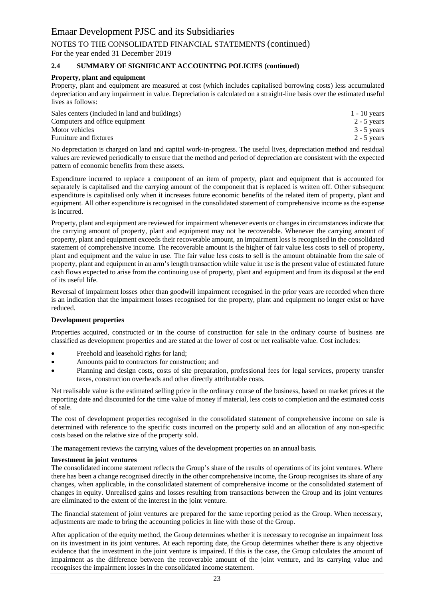## **2.4 SUMMARY OF SIGNIFICANT ACCOUNTING POLICIES (continued)**

## **Property, plant and equipment**

Property, plant and equipment are measured at cost (which includes capitalised borrowing costs) less accumulated depreciation and any impairment in value. Depreciation is calculated on a straight-line basis over the estimated useful lives as follows:

| Sales centers (included in land and buildings) | $1 - 10$ years |
|------------------------------------------------|----------------|
| Computers and office equipment                 | $2 - 5$ years  |
| Motor vehicles                                 | $3 - 5$ years  |
| Furniture and fixtures                         | $2 - 5$ years  |

No depreciation is charged on land and capital work-in-progress. The useful lives, depreciation method and residual values are reviewed periodically to ensure that the method and period of depreciation are consistent with the expected pattern of economic benefits from these assets.

Expenditure incurred to replace a component of an item of property, plant and equipment that is accounted for separately is capitalised and the carrying amount of the component that is replaced is written off. Other subsequent expenditure is capitalised only when it increases future economic benefits of the related item of property, plant and equipment. All other expenditure is recognised in the consolidated statement of comprehensive income as the expense is incurred.

Property, plant and equipment are reviewed for impairment whenever events or changes in circumstances indicate that the carrying amount of property, plant and equipment may not be recoverable. Whenever the carrying amount of property, plant and equipment exceeds their recoverable amount, an impairment loss is recognised in the consolidated statement of comprehensive income. The recoverable amount is the higher of fair value less costs to sell of property, plant and equipment and the value in use. The fair value less costs to sell is the amount obtainable from the sale of property, plant and equipment in an arm's length transaction while value in use is the present value of estimated future cash flows expected to arise from the continuing use of property, plant and equipment and from its disposal at the end of its useful life.

Reversal of impairment losses other than goodwill impairment recognised in the prior years are recorded when there is an indication that the impairment losses recognised for the property, plant and equipment no longer exist or have reduced.

## **Development properties**

Properties acquired, constructed or in the course of construction for sale in the ordinary course of business are classified as development properties and are stated at the lower of cost or net realisable value. Cost includes:

- Freehold and leasehold rights for land;
- Amounts paid to contractors for construction; and
- Planning and design costs, costs of site preparation, professional fees for legal services, property transfer taxes, construction overheads and other directly attributable costs.

Net realisable value is the estimated selling price in the ordinary course of the business, based on market prices at the reporting date and discounted for the time value of money if material, less costs to completion and the estimated costs of sale.

The cost of development properties recognised in the consolidated statement of comprehensive income on sale is determined with reference to the specific costs incurred on the property sold and an allocation of any non-specific costs based on the relative size of the property sold.

The management reviews the carrying values of the development properties on an annual basis.

#### **Investment in joint ventures**

The consolidated income statement reflects the Group's share of the results of operations of its joint ventures. Where there has been a change recognised directly in the other comprehensive income, the Group recognises its share of any changes, when applicable, in the consolidated statement of comprehensive income or the consolidated statement of changes in equity. Unrealised gains and losses resulting from transactions between the Group and its joint ventures are eliminated to the extent of the interest in the joint venture.

The financial statement of joint ventures are prepared for the same reporting period as the Group. When necessary, adjustments are made to bring the accounting policies in line with those of the Group.

After application of the equity method, the Group determines whether it is necessary to recognise an impairment loss on its investment in its joint ventures. At each reporting date, the Group determines whether there is any objective evidence that the investment in the joint venture is impaired. If this is the case, the Group calculates the amount of impairment as the difference between the recoverable amount of the joint venture, and its carrying value and recognises the impairment losses in the consolidated income statement.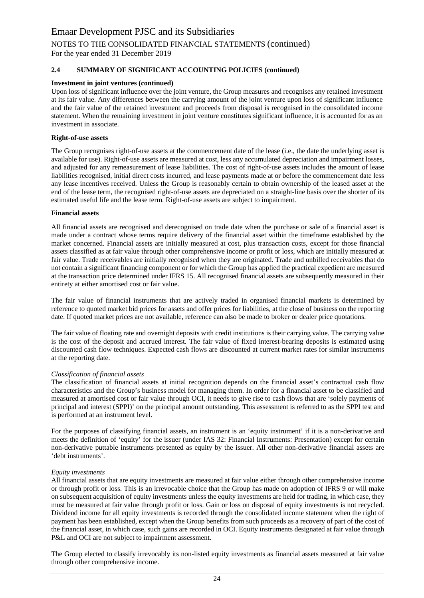## **2.4 SUMMARY OF SIGNIFICANT ACCOUNTING POLICIES (continued)**

## **Investment in joint ventures (continued)**

Upon loss of significant influence over the joint venture, the Group measures and recognises any retained investment at its fair value. Any differences between the carrying amount of the joint venture upon loss of significant influence and the fair value of the retained investment and proceeds from disposal is recognised in the consolidated income statement. When the remaining investment in joint venture constitutes significant influence, it is accounted for as an investment in associate.

## **Right-of-use assets**

The Group recognises right-of-use assets at the commencement date of the lease (i.e., the date the underlying asset is available for use). Right-of-use assets are measured at cost, less any accumulated depreciation and impairment losses, and adjusted for any remeasurement of lease liabilities. The cost of right-of-use assets includes the amount of lease liabilities recognised, initial direct costs incurred, and lease payments made at or before the commencement date less any lease incentives received. Unless the Group is reasonably certain to obtain ownership of the leased asset at the end of the lease term, the recognised right-of-use assets are depreciated on a straight-line basis over the shorter of its estimated useful life and the lease term. Right-of-use assets are subject to impairment.

#### **Financial assets**

All financial assets are recognised and derecognised on trade date when the purchase or sale of a financial asset is made under a contract whose terms require delivery of the financial asset within the timeframe established by the market concerned. Financial assets are initially measured at cost, plus transaction costs, except for those financial assets classified as at fair value through other comprehensive income or profit or loss, which are initially measured at fair value. Trade receivables are initially recognised when they are originated. Trade and unbilled receivables that do not contain a significant financing component or for which the Group has applied the practical expedient are measured at the transaction price determined under IFRS 15. All recognised financial assets are subsequently measured in their entirety at either amortised cost or fair value.

The fair value of financial instruments that are actively traded in organised financial markets is determined by reference to quoted market bid prices for assets and offer prices for liabilities, at the close of business on the reporting date. If quoted market prices are not available, reference can also be made to broker or dealer price quotations.

The fair value of floating rate and overnight deposits with credit institutions is their carrying value. The carrying value is the cost of the deposit and accrued interest. The fair value of fixed interest-bearing deposits is estimated using discounted cash flow techniques. Expected cash flows are discounted at current market rates for similar instruments at the reporting date.

## *Classification of financial assets*

The classification of financial assets at initial recognition depends on the financial asset's contractual cash flow characteristics and the Group's business model for managing them. In order for a financial asset to be classified and measured at amortised cost or fair value through OCI, it needs to give rise to cash flows that are 'solely payments of principal and interest (SPPI)' on the principal amount outstanding. This assessment is referred to as the SPPI test and is performed at an instrument level.

For the purposes of classifying financial assets, an instrument is an 'equity instrument' if it is a non-derivative and meets the definition of 'equity' for the issuer (under IAS 32: Financial Instruments: Presentation) except for certain non-derivative puttable instruments presented as equity by the issuer. All other non-derivative financial assets are 'debt instruments'.

#### *Equity investments*

All financial assets that are equity investments are measured at fair value either through other comprehensive income or through profit or loss. This is an irrevocable choice that the Group has made on adoption of IFRS 9 or will make on subsequent acquisition of equity investments unless the equity investments are held for trading, in which case, they must be measured at fair value through profit or loss. Gain or loss on disposal of equity investments is not recycled. Dividend income for all equity investments is recorded through the consolidated income statement when the right of payment has been established, except when the Group benefits from such proceeds as a recovery of part of the cost of the financial asset, in which case, such gains are recorded in OCI. Equity instruments designated at fair value through P&L and OCI are not subject to impairment assessment.

The Group elected to classify irrevocably its non-listed equity investments as financial assets measured at fair value through other comprehensive income.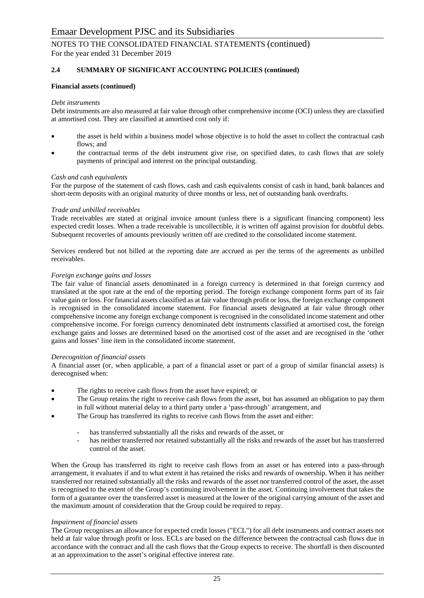## **2.4 SUMMARY OF SIGNIFICANT ACCOUNTING POLICIES (continued)**

## **Financial assets (continued)**

## *Debt instruments*

Debt instruments are also measured at fair value through other comprehensive income (OCI) unless they are classified at amortised cost. They are classified at amortised cost only if:

- the asset is held within a business model whose objective is to hold the asset to collect the contractual cash flows; and
- the contractual terms of the debt instrument give rise, on specified dates, to cash flows that are solely payments of principal and interest on the principal outstanding.

## *Cash and cash equivalents*

For the purpose of the statement of cash flows, cash and cash equivalents consist of cash in hand, bank balances and short-term deposits with an original maturity of three months or less, net of outstanding bank overdrafts.

## *Trade and unbilled receivables*

Trade receivables are stated at original invoice amount (unless there is a significant financing component) less expected credit losses. When a trade receivable is uncollectible, it is written off against provision for doubtful debts. Subsequent recoveries of amounts previously written off are credited to the consolidated income statement.

Services rendered but not billed at the reporting date are accrued as per the terms of the agreements as unbilled receivables.

#### *Foreign exchange gains and losses*

The fair value of financial assets denominated in a foreign currency is determined in that foreign currency and translated at the spot rate at the end of the reporting period. The foreign exchange component forms part of its fair value gain or loss. For financial assets classified as at fair value through profit or loss, the foreign exchange component is recognised in the consolidated income statement. For financial assets designated at fair value through other comprehensive income any foreign exchange component is recognised in the consolidated income statement and other comprehensive income. For foreign currency denominated debt instruments classified at amortised cost, the foreign exchange gains and losses are determined based on the amortised cost of the asset and are recognised in the 'other gains and losses' line item in the consolidated income statement.

#### *Derecognition of financial assets*

A financial asset (or, when applicable, a part of a financial asset or part of a group of similar financial assets) is derecognised when:

- The rights to receive cash flows from the asset have expired; or
- The Group retains the right to receive cash flows from the asset, but has assumed an obligation to pay them in full without material delay to a third party under a 'pass-through' arrangement, and
- The Group has transferred its rights to receive cash flows from the asset and either:
	- has transferred substantially all the risks and rewards of the asset, or
	- has neither transferred nor retained substantially all the risks and rewards of the asset but has transferred control of the asset.

When the Group has transferred its right to receive cash flows from an asset or has entered into a pass-through arrangement, it evaluates if and to what extent it has retained the risks and rewards of ownership. When it has neither transferred nor retained substantially all the risks and rewards of the asset nor transferred control of the asset, the asset is recognised to the extent of the Group's continuing involvement in the asset. Continuing involvement that takes the form of a guarantee over the transferred asset is measured at the lower of the original carrying amount of the asset and the maximum amount of consideration that the Group could be required to repay.

#### *Impairment of financial assets*

The Group recognises an allowance for expected credit losses ("ECL") for all debt instruments and contract assets not held at fair value through profit or loss. ECLs are based on the difference between the contractual cash flows due in accordance with the contract and all the cash flows that the Group expects to receive. The shortfall is then discounted at an approximation to the asset's original effective interest rate.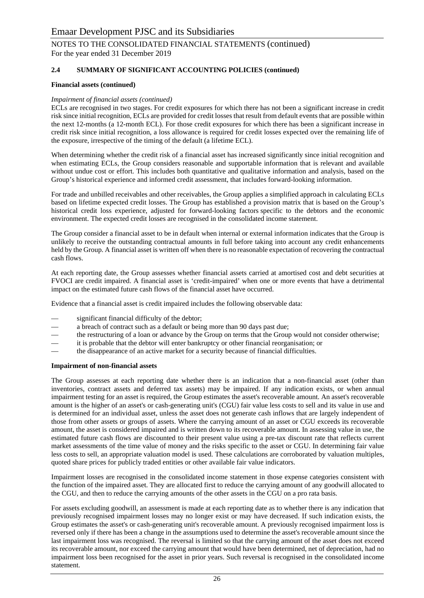## **2.4 SUMMARY OF SIGNIFICANT ACCOUNTING POLICIES (continued)**

## **Financial assets (continued)**

## *Impairment of financial assets (continued)*

ECLs are recognised in two stages. For credit exposures for which there has not been a significant increase in credit risk since initial recognition, ECLs are provided for credit losses that result from default events that are possible within the next 12-months (a 12-month ECL). For those credit exposures for which there has been a significant increase in credit risk since initial recognition, a loss allowance is required for credit losses expected over the remaining life of the exposure, irrespective of the timing of the default (a lifetime ECL).

When determining whether the credit risk of a financial asset has increased significantly since initial recognition and when estimating ECLs, the Group considers reasonable and supportable information that is relevant and available without undue cost or effort. This includes both quantitative and qualitative information and analysis, based on the Group's historical experience and informed credit assessment, that includes forward-looking information.

For trade and unbilled receivables and other receivables, the Group applies a simplified approach in calculating ECLs based on lifetime expected credit losses. The Group has established a provision matrix that is based on the Group's historical credit loss experience, adjusted for forward-looking factors specific to the debtors and the economic environment. The expected credit losses are recognised in the consolidated income statement.

The Group consider a financial asset to be in default when internal or external information indicates that the Group is unlikely to receive the outstanding contractual amounts in full before taking into account any credit enhancements held by the Group. A financial asset is written off when there is no reasonable expectation of recovering the contractual cash flows.

At each reporting date, the Group assesses whether financial assets carried at amortised cost and debt securities at FVOCI are credit impaired. A financial asset is 'credit-impaired' when one or more events that have a detrimental impact on the estimated future cash flows of the financial asset have occurred.

Evidence that a financial asset is credit impaired includes the following observable data:

- significant financial difficulty of the debtor;
- –– a breach of contract such as a default or being more than 90 days past due;
- –– the restructuring of a loan or advance by the Group on terms that the Group would not consider otherwise;
- it is probable that the debtor will enter bankruptcy or other financial reorganisation; or
- the disappearance of an active market for a security because of financial difficulties.

#### **Impairment of non-financial assets**

The Group assesses at each reporting date whether there is an indication that a non-financial asset (other than inventories, contract assets and deferred tax assets) may be impaired. If any indication exists, or when annual impairment testing for an asset is required, the Group estimates the asset's recoverable amount. An asset's recoverable amount is the higher of an asset's or cash-generating unit's (CGU) fair value less costs to sell and its value in use and is determined for an individual asset, unless the asset does not generate cash inflows that are largely independent of those from other assets or groups of assets. Where the carrying amount of an asset or CGU exceeds its recoverable amount, the asset is considered impaired and is written down to its recoverable amount. In assessing value in use, the estimated future cash flows are discounted to their present value using a pre-tax discount rate that reflects current market assessments of the time value of money and the risks specific to the asset or CGU. In determining fair value less costs to sell, an appropriate valuation model is used. These calculations are corroborated by valuation multiples, quoted share prices for publicly traded entities or other available fair value indicators.

Impairment losses are recognised in the consolidated income statement in those expense categories consistent with the function of the impaired asset. They are allocated first to reduce the carrying amount of any goodwill allocated to the CGU, and then to reduce the carrying amounts of the other assets in the CGU on a pro rata basis.

For assets excluding goodwill, an assessment is made at each reporting date as to whether there is any indication that previously recognised impairment losses may no longer exist or may have decreased. If such indication exists, the Group estimates the asset's or cash-generating unit's recoverable amount. A previously recognised impairment loss is reversed only if there has been a change in the assumptions used to determine the asset's recoverable amount since the last impairment loss was recognised. The reversal is limited so that the carrying amount of the asset does not exceed its recoverable amount, nor exceed the carrying amount that would have been determined, net of depreciation, had no impairment loss been recognised for the asset in prior years. Such reversal is recognised in the consolidated income statement.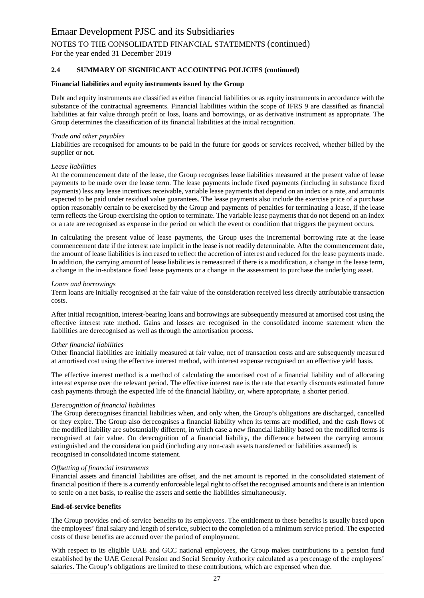## **2.4 SUMMARY OF SIGNIFICANT ACCOUNTING POLICIES (continued)**

#### **Financial liabilities and equity instruments issued by the Group**

Debt and equity instruments are classified as either financial liabilities or as equity instruments in accordance with the substance of the contractual agreements. Financial liabilities within the scope of IFRS 9 are classified as financial liabilities at fair value through profit or loss, loans and borrowings, or as derivative instrument as appropriate. The Group determines the classification of its financial liabilities at the initial recognition.

#### *Trade and other payables*

Liabilities are recognised for amounts to be paid in the future for goods or services received, whether billed by the supplier or not.

## *Lease liabilities*

At the commencement date of the lease, the Group recognises lease liabilities measured at the present value of lease payments to be made over the lease term. The lease payments include fixed payments (including in substance fixed payments) less any lease incentives receivable, variable lease payments that depend on an index or a rate, and amounts expected to be paid under residual value guarantees. The lease payments also include the exercise price of a purchase option reasonably certain to be exercised by the Group and payments of penalties for terminating a lease, if the lease term reflects the Group exercising the option to terminate. The variable lease payments that do not depend on an index or a rate are recognised as expense in the period on which the event or condition that triggers the payment occurs.

In calculating the present value of lease payments, the Group uses the incremental borrowing rate at the lease commencement date if the interest rate implicit in the lease is not readily determinable. After the commencement date, the amount of lease liabilities is increased to reflect the accretion of interest and reduced for the lease payments made. In addition, the carrying amount of lease liabilities is remeasured if there is a modification, a change in the lease term, a change in the in-substance fixed lease payments or a change in the assessment to purchase the underlying asset*.*

#### *Loans and borrowings*

Term loans are initially recognised at the fair value of the consideration received less directly attributable transaction costs.

After initial recognition, interest-bearing loans and borrowings are subsequently measured at amortised cost using the effective interest rate method. Gains and losses are recognised in the consolidated income statement when the liabilities are derecognised as well as through the amortisation process.

#### *Other financial liabilities*

Other financial liabilities are initially measured at fair value, net of transaction costs and are subsequently measured at amortised cost using the effective interest method, with interest expense recognised on an effective yield basis.

The effective interest method is a method of calculating the amortised cost of a financial liability and of allocating interest expense over the relevant period. The effective interest rate is the rate that exactly discounts estimated future cash payments through the expected life of the financial liability, or, where appropriate, a shorter period.

#### *Derecognition of financial liabilities*

The Group derecognises financial liabilities when, and only when, the Group's obligations are discharged, cancelled or they expire. The Group also derecognises a financial liability when its terms are modified, and the cash flows of the modified liability are substantially different, in which case a new financial liability based on the modified terms is recognised at fair value. On derecognition of a financial liability, the difference between the carrying amount extinguished and the consideration paid (including any non-cash assets transferred or liabilities assumed) is recognised in consolidated income statement.

#### *Offsetting of financial instruments*

Financial assets and financial liabilities are offset, and the net amount is reported in the consolidated statement of financial position if there is a currently enforceable legal right to offset the recognised amounts and there is an intention to settle on a net basis, to realise the assets and settle the liabilities simultaneously.

#### **End-of-service benefits**

The Group provides end-of-service benefits to its employees. The entitlement to these benefits is usually based upon the employees' final salary and length of service, subject to the completion of a minimum service period. The expected costs of these benefits are accrued over the period of employment.

With respect to its eligible UAE and GCC national employees, the Group makes contributions to a pension fund established by the UAE General Pension and Social Security Authority calculated as a percentage of the employees' salaries. The Group's obligations are limited to these contributions, which are expensed when due.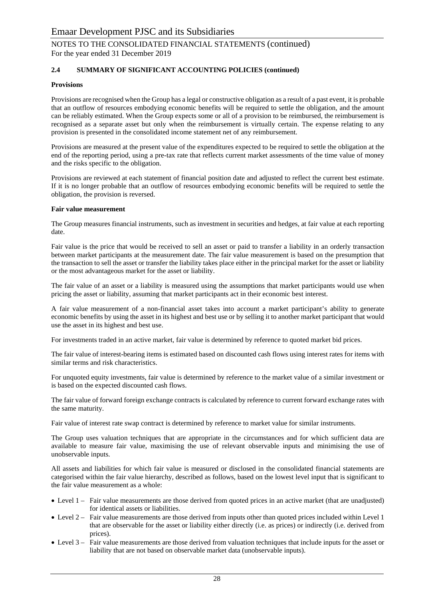## **2.4 SUMMARY OF SIGNIFICANT ACCOUNTING POLICIES (continued)**

## **Provisions**

Provisions are recognised when the Group has a legal or constructive obligation as a result of a past event, it is probable that an outflow of resources embodying economic benefits will be required to settle the obligation, and the amount can be reliably estimated. When the Group expects some or all of a provision to be reimbursed, the reimbursement is recognised as a separate asset but only when the reimbursement is virtually certain. The expense relating to any provision is presented in the consolidated income statement net of any reimbursement.

Provisions are measured at the present value of the expenditures expected to be required to settle the obligation at the end of the reporting period, using a pre-tax rate that reflects current market assessments of the time value of money and the risks specific to the obligation.

Provisions are reviewed at each statement of financial position date and adjusted to reflect the current best estimate. If it is no longer probable that an outflow of resources embodying economic benefits will be required to settle the obligation, the provision is reversed.

## **Fair value measurement**

The Group measures financial instruments, such as investment in securities and hedges, at fair value at each reporting date.

Fair value is the price that would be received to sell an asset or paid to transfer a liability in an orderly transaction between market participants at the measurement date. The fair value measurement is based on the presumption that the transaction to sell the asset or transfer the liability takes place either in the principal market for the asset or liability or the most advantageous market for the asset or liability.

The fair value of an asset or a liability is measured using the assumptions that market participants would use when pricing the asset or liability, assuming that market participants act in their economic best interest.

A fair value measurement of a non-financial asset takes into account a market participant's ability to generate economic benefits by using the asset in its highest and best use or by selling it to another market participant that would use the asset in its highest and best use.

For investments traded in an active market, fair value is determined by reference to quoted market bid prices.

The fair value of interest-bearing items is estimated based on discounted cash flows using interest rates for items with similar terms and risk characteristics.

For unquoted equity investments, fair value is determined by reference to the market value of a similar investment or is based on the expected discounted cash flows.

The fair value of forward foreign exchange contracts is calculated by reference to current forward exchange rates with the same maturity.

Fair value of interest rate swap contract is determined by reference to market value for similar instruments.

The Group uses valuation techniques that are appropriate in the circumstances and for which sufficient data are available to measure fair value, maximising the use of relevant observable inputs and minimising the use of unobservable inputs.

All assets and liabilities for which fair value is measured or disclosed in the consolidated financial statements are categorised within the fair value hierarchy, described as follows, based on the lowest level input that is significant to the fair value measurement as a whole:

- Level 1 Fair value measurements are those derived from quoted prices in an active market (that are unadjusted) for identical assets or liabilities.
- Level 2 Fair value measurements are those derived from inputs other than quoted prices included within Level 1 that are observable for the asset or liability either directly (i.e. as prices) or indirectly (i.e. derived from prices).
- Level 3 Fair value measurements are those derived from valuation techniques that include inputs for the asset or liability that are not based on observable market data (unobservable inputs).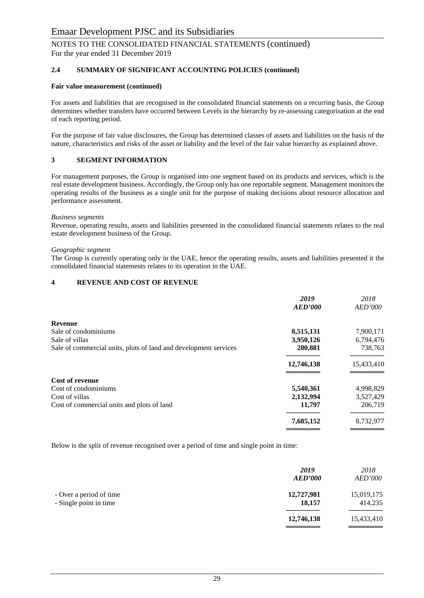## **2.4 SUMMARY OF SIGNIFICANT ACCOUNTING POLICIES (continued)**

## **Fair value measurement (continued)**

For assets and liabilities that are recognised in the consolidated financial statements on a recurring basis, the Group determines whether transfers have occurred between Levels in the hierarchy by re-assessing categorisation at the end of each reporting period.

For the purpose of fair value disclosures, the Group has determined classes of assets and liabilities on the basis of the nature, characteristics and risks of the asset or liability and the level of the fair value hierarchy as explained above.

## **3 SEGMENT INFORMATION**

For management purposes, the Group is organised into one segment based on its products and services, which is the real estate development business. Accordingly, the Group only has one reportable segment. Management monitors the operating results of the business as a single unit for the purpose of making decisions about resource allocation and performance assessment.

## *Business segments*

Revenue, operating results, assets and liabilities presented in the consolidated financial statements relates to the real estate development business of the Group.

## *Geographic segment*

The Group is currently operating only in the UAE, hence the operating results, assets and liabilities presented it the consolidated financial statements relates to its operation in the UAE.

## **4 REVENUE AND COST OF REVENUE**

| 2019<br><b>AED'000</b> | 2018<br><b>AED'000</b> |
|------------------------|------------------------|
|                        |                        |
| 8,515,131              | 7,900,171              |
| 3,950,126              | 6,794,476              |
| 280,881                | 738,763                |
| 12,746,138             | 15,433,410             |
|                        |                        |
| 5,540,361              | 4,998,829              |
| 2,132,994              | 3,527,429              |
| 11,797                 | 206,719                |
| 7,685,152              | 8,732,977              |
|                        |                        |

Below is the split of revenue recognised over a period of time and single point in time:

|                                                   | 2019<br>AED'000      | 2018<br><b>AED'000</b> |
|---------------------------------------------------|----------------------|------------------------|
| - Over a period of time<br>- Single point in time | 12,727,981<br>18,157 | 15,019,175<br>414,235  |
|                                                   | 12,746,138           | 15,433,410             |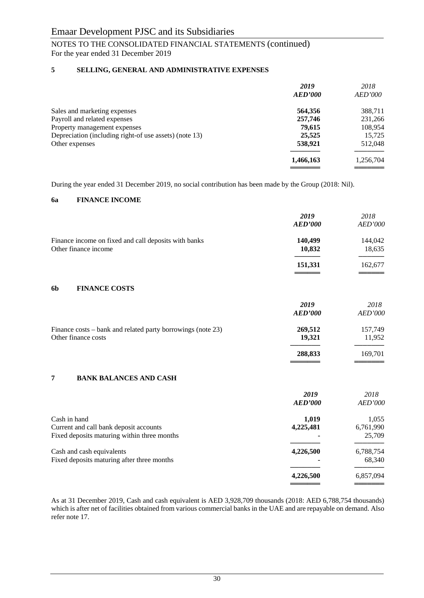# NOTES TO THE CONSOLIDATED FINANCIAL STATEMENTS (continued) For the year ended 31 December 2019

## **5 SELLING, GENERAL AND ADMINISTRATIVE EXPENSES**

|                                                        | 2019<br><b>AED'000</b> | 2018<br><i>AED'000</i> |
|--------------------------------------------------------|------------------------|------------------------|
| Sales and marketing expenses                           | 564,356                | 388,711                |
| Payroll and related expenses                           | 257,746                | 231,266                |
| Property management expenses                           | 79,615                 | 108,954                |
| Depreciation (including right-of use assets) (note 13) | 25,525                 | 15.725                 |
| Other expenses                                         | 538,921                | 512,048                |
|                                                        | 1,466,163              | 1,256,704              |
|                                                        |                        |                        |

During the year ended 31 December 2019, no social contribution has been made by the Group (2018: Nil).

## **6a FINANCE INCOME**

|                                                                                                       | 2019<br><b>AED'000</b> | 2018<br>AED'000              |
|-------------------------------------------------------------------------------------------------------|------------------------|------------------------------|
| Finance income on fixed and call deposits with banks<br>Other finance income                          | 140,499<br>10,832      | 144,042<br>18,635            |
|                                                                                                       | 151,331                | 162,677                      |
| <b>FINANCE COSTS</b><br>6 <sub>b</sub>                                                                |                        |                              |
|                                                                                                       | 2019<br><b>AED'000</b> | 2018<br>AED'000              |
| Finance costs – bank and related party borrowings (note 23)<br>Other finance costs                    | 269,512<br>19,321      | 157,749<br>11,952            |
|                                                                                                       | 288,833                | 169,701                      |
| 7<br><b>BANK BALANCES AND CASH</b>                                                                    |                        |                              |
|                                                                                                       | 2019<br><b>AED'000</b> | 2018<br>AED'000              |
| Cash in hand<br>Current and call bank deposit accounts<br>Fixed deposits maturing within three months | 1,019<br>4,225,481     | 1,055<br>6,761,990<br>25,709 |
| Cash and cash equivalents<br>Fixed deposits maturing after three months                               | 4,226,500              | 6,788,754<br>68,340          |

As at 31 December 2019, Cash and cash equivalent is AED 3,928,709 thousands (2018: AED 6,788,754 thousands) which is after net of facilities obtained from various commercial banks in the UAE and are repayable on demand. Also refer note 17.

**4,226,500** 6,857,094 **═══════** ═══════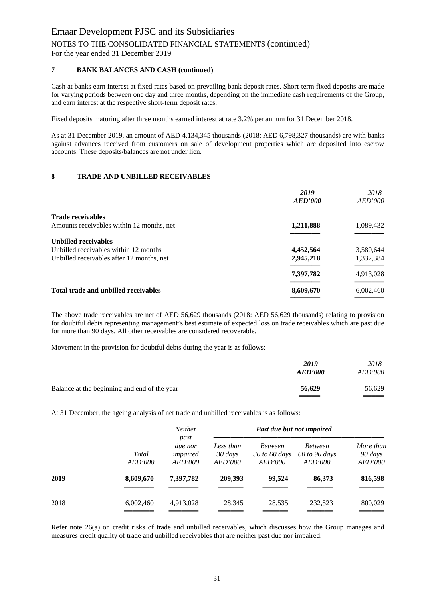## NOTES TO THE CONSOLIDATED FINANCIAL STATEMENTS (continued) For the year ended 31 December 2019

## **7 BANK BALANCES AND CASH (continued)**

Cash at banks earn interest at fixed rates based on prevailing bank deposit rates. Short-term fixed deposits are made for varying periods between one day and three months, depending on the immediate cash requirements of the Group, and earn interest at the respective short-term deposit rates.

Fixed deposits maturing after three months earned interest at rate 3.2% per annum for 31 December 2018.

As at 31 December 2019, an amount of AED 4,134,345 thousands (2018: AED 6,798,327 thousands) are with banks against advances received from customers on sale of development properties which are deposited into escrow accounts. These deposits/balances are not under lien.

## **8 TRADE AND UNBILLED RECEIVABLES**

|                                           | 2019<br>AED'000 | 2018<br>AED'000 |
|-------------------------------------------|-----------------|-----------------|
| <b>Trade receivables</b>                  |                 |                 |
| Amounts receivables within 12 months, net | 1,211,888       | 1,089,432       |
| <b>Unbilled receivables</b>               |                 |                 |
| Unbilled receivables within 12 months     | 4,452,564       | 3,580,644       |
| Unbilled receivables after 12 months, net | 2,945,218       | 1,332,384       |
|                                           | 7,397,782       | 4,913,028       |
| Total trade and unbilled receivables      | 8,609,670       | 6,002,460       |
|                                           |                 |                 |

The above trade receivables are net of AED 56,629 thousands (2018: AED 56,629 thousands) relating to provision for doubtful debts representing management's best estimate of expected loss on trade receivables which are past due for more than 90 days. All other receivables are considered recoverable.

Movement in the provision for doubtful debts during the year is as follows:

|                                              | 2019<br><b>AED'000</b>       | 2018<br><i>AED'000</i> |
|----------------------------------------------|------------------------------|------------------------|
| Balance at the beginning and end of the year | 56,629<br>$\hspace{1.5cm} =$ | 56,629<br>======       |

At 31 December, the ageing analysis of net trade and unbilled receivables is as follows:

|      |                         | <b>Neither</b>                                |                                 | Past due but not impaired                  |                                            |                                             |
|------|-------------------------|-----------------------------------------------|---------------------------------|--------------------------------------------|--------------------------------------------|---------------------------------------------|
|      | Total<br><i>AED'000</i> | past<br>due nor<br>impaired<br><i>AED'000</i> | Less than<br>30 days<br>AED'000 | <b>Between</b><br>30 to 60 days<br>AED'000 | <b>Between</b><br>60 to 90 days<br>AED'000 | More than<br>$90 \, days$<br><i>AED'000</i> |
| 2019 | 8,609,670               | 7,397,782                                     | 209,393                         | 99,524                                     | 86,373                                     | 816,598                                     |
| 2018 | 6,002,460               | 4,913,028                                     | 28,345                          | 28,535                                     | 232,523                                    | 800,029                                     |

Refer note 26(a) on credit risks of trade and unbilled receivables, which discusses how the Group manages and measures credit quality of trade and unbilled receivables that are neither past due nor impaired.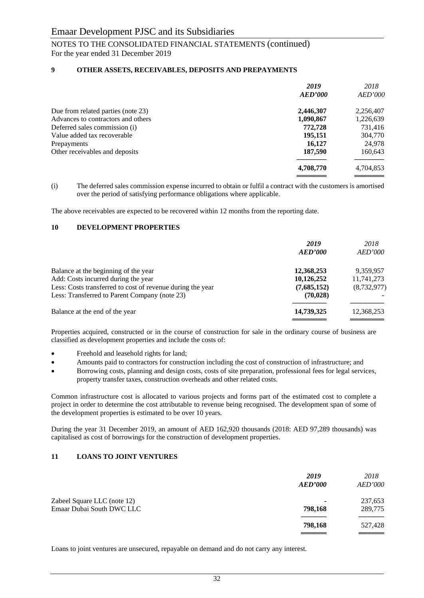## **9 OTHER ASSETS, RECEIVABLES, DEPOSITS AND PREPAYMENTS**

|                                    | 2019<br>AED'000 | 2018<br>AED'000 |
|------------------------------------|-----------------|-----------------|
| Due from related parties (note 23) | 2,446,307       | 2,256,407       |
| Advances to contractors and others | 1,090,867       | 1,226,639       |
| Deferred sales commission (i)      | 772,728         | 731,416         |
| Value added tax recoverable        | 195,151         | 304,770         |
| Prepayments                        | 16,127          | 24,978          |
| Other receivables and deposits     | 187,590         | 160,643         |
|                                    | 4,708,770       | 4,704,853       |
|                                    |                 |                 |

(i) The deferred sales commission expense incurred to obtain or fulfil a contract with the customers is amortised over the period of satisfying performance obligations where applicable.

The above receivables are expected to be recovered within 12 months from the reporting date.

## **10 DEVELOPMENT PROPERTIES**

| 2019<br><b>AED'000</b> | 2018<br><b>AED'000</b> |
|------------------------|------------------------|
| 12,368,253             | 9,359,957              |
| 10,126,252             | 11,741,273             |
|                        | (8,732,977)            |
| (70, 028)              |                        |
| 14,739,325             | 12,368,253             |
|                        | (7,685,152)            |

Properties acquired, constructed or in the course of construction for sale in the ordinary course of business are classified as development properties and include the costs of:

- Freehold and leasehold rights for land;
- Amounts paid to contractors for construction including the cost of construction of infrastructure; and
- Borrowing costs, planning and design costs, costs of site preparation, professional fees for legal services, property transfer taxes, construction overheads and other related costs.

Common infrastructure cost is allocated to various projects and forms part of the estimated cost to complete a project in order to determine the cost attributable to revenue being recognised. The development span of some of the development properties is estimated to be over 10 years.

During the year 31 December 2019, an amount of AED 162,920 thousands (2018: AED 97,289 thousands) was capitalised as cost of borrowings for the construction of development properties.

## **11 LOANS TO JOINT VENTURES**

|                                                          | 2019<br><b>AED'000</b> | 2018<br><b>AED'000</b> |
|----------------------------------------------------------|------------------------|------------------------|
| Zabeel Square LLC (note 12)<br>Emaar Dubai South DWC LLC | ٠<br>798,168           | 237,653<br>289,775     |
|                                                          | 798,168                | 527,428                |

Loans to joint ventures are unsecured, repayable on demand and do not carry any interest.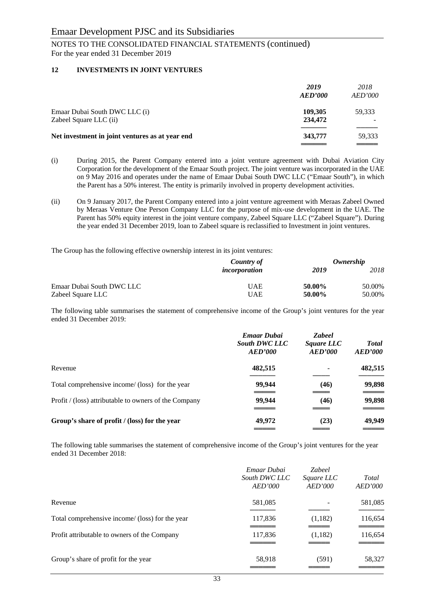## **12 INVESTMENTS IN JOINT VENTURES**

|                                                         | 2019<br>AED'000    | 2018<br><b>AED'000</b> |
|---------------------------------------------------------|--------------------|------------------------|
| Emaar Dubai South DWC LLC (i)<br>Zabeel Square LLC (ii) | 109,305<br>234,472 | 59.333                 |
| Net investment in joint ventures as at year end         | 343,777            | 59,333<br>----         |

- (i) During 2015, the Parent Company entered into a joint venture agreement with Dubai Aviation City Corporation for the development of the Emaar South project. The joint venture was incorporated in the UAE on 9 May 2016 and operates under the name of Emaar Dubai South DWC LLC ("Emaar South"), in which the Parent has a 50% interest. The entity is primarily involved in property development activities.
- (ii) On 9 January 2017, the Parent Company entered into a joint venture agreement with Meraas Zabeel Owned by Meraas Venture One Person Company LLC for the purpose of mix-use development in the UAE. The Parent has 50% equity interest in the joint venture company, Zabeel Square LLC ("Zabeel Square"). During the year ended 31 December 2019, loan to Zabeel square is reclassified to Investment in joint ventures.

The Group has the following effective ownership interest in its joint ventures:

|                           | Country of           |        | Ownership |  |
|---------------------------|----------------------|--------|-----------|--|
|                           | <i>incorporation</i> | 2019   | 2018      |  |
| Emaar Dubai South DWC LLC | <b>UAE</b>           | 50.00% | 50.00%    |  |
| Zabeel Square LLC         | UAE                  | 50.00% | 50.00%    |  |

The following table summarises the statement of comprehensive income of the Group's joint ventures for the year ended 31 December 2019:

|                                                       | Emaar Dubai<br><b>South DWC LLC</b><br>AED'000 | <b>Zabeel</b><br>Square LLC<br>AED'000 | <b>Total</b><br><b>AED'000</b> |
|-------------------------------------------------------|------------------------------------------------|----------------------------------------|--------------------------------|
| Revenue                                               | 482,515                                        |                                        | 482,515                        |
| Total comprehensive income/ (loss) for the year       | 99,944                                         | (46)                                   | 99,898<br>____                 |
| Profit / (loss) attributable to owners of the Company | 99,944                                         | (46)                                   | 99,898                         |
| Group's share of profit / (loss) for the year         | 49,972                                         | (23)                                   | 49,949                         |

The following table summarises the statement of comprehensive income of the Group's joint ventures for the year ended 31 December 2018:

|                                                 | Emaar Dubai<br>South DWC LLC<br><b>AED'000</b> | <b>Zabeel</b><br>Square LLC<br>AED'000 | Total<br><b>AED'000</b> |
|-------------------------------------------------|------------------------------------------------|----------------------------------------|-------------------------|
| Revenue                                         | 581,085                                        |                                        | 581,085                 |
| Total comprehensive income/ (loss) for the year | 117,836                                        | (1,182)                                | 116,654                 |
| Profit attributable to owners of the Company    | 117,836                                        | (1,182)                                | 116,654                 |
| Group's share of profit for the year            | 58,918                                         | (591)                                  | 58,327                  |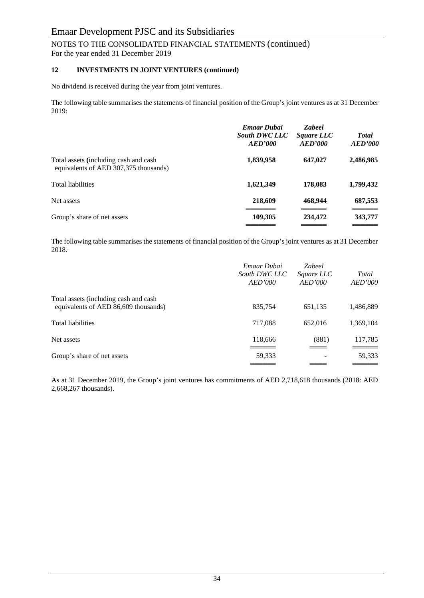# NOTES TO THE CONSOLIDATED FINANCIAL STATEMENTS (continued) For the year ended 31 December 2019

## **12 INVESTMENTS IN JOINT VENTURES (continued)**

No dividend is received during the year from joint ventures.

The following table summarises the statements of financial position of the Group's joint ventures as at 31 December 2019:

|                                                                                 | <b>Emaar Dubai</b><br><b>South DWC LLC</b><br>AED'000 | <b>Zabeel</b><br><i>Square LLC</i><br>AED'000 | <b>T</b> otal<br><b>AED'000</b> |
|---------------------------------------------------------------------------------|-------------------------------------------------------|-----------------------------------------------|---------------------------------|
| Total assets (including cash and cash)<br>equivalents of AED 307,375 thousands) | 1,839,958                                             | 647,027                                       | 2,486,985                       |
| <b>Total liabilities</b>                                                        | 1,621,349                                             | 178,083                                       | 1,799,432                       |
| Net assets                                                                      | 218,609                                               | 468,944                                       | 687,553                         |
| Group's share of net assets                                                     | 109,305                                               | 234,472                                       | 343,777                         |

The following table summarises the statements of financial position of the Group's joint ventures as at 31 December 2018*:*

|                                                                                | Emaar Dubai<br>South DWC LLC<br>AED'000 | <b>Zabeel</b><br>Square LLC<br>AED'000 | Total<br>AED'000 |
|--------------------------------------------------------------------------------|-----------------------------------------|----------------------------------------|------------------|
| Total assets (including cash and cash)<br>equivalents of AED 86,609 thousands) | 835,754                                 | 651,135                                | 1,486,889        |
| <b>Total liabilities</b>                                                       | 717,088                                 | 652,016                                | 1,369,104        |
| Net assets                                                                     | 118,666                                 | (881)                                  | 117,785          |
| Group's share of net assets                                                    | 59,333                                  |                                        | 59,333           |

As at 31 December 2019, the Group's joint ventures has commitments of AED 2,718,618 thousands (2018: AED 2,668,267 thousands).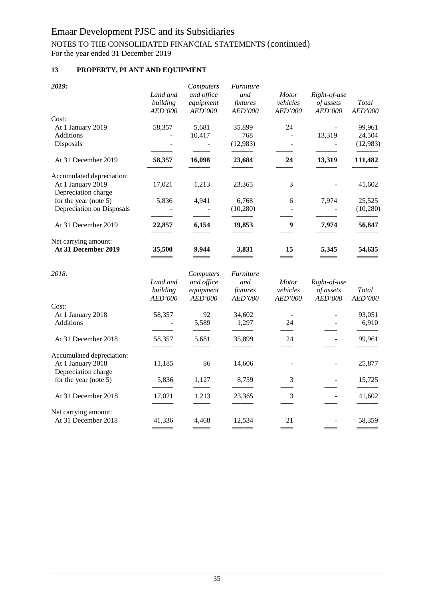# **13 PROPERTY, PLANT AND EQUIPMENT**

| 2019:                                                                 | Land and<br>building<br>AED'000 | Computers<br>and office<br>equipment<br>AED'000 | Furniture<br>and<br>fixtures<br>AED'000 | <b>Motor</b><br>vehicles<br>AED'000 | Right-of-use<br>of assets<br>AED'000 | Total<br>AED'000 |
|-----------------------------------------------------------------------|---------------------------------|-------------------------------------------------|-----------------------------------------|-------------------------------------|--------------------------------------|------------------|
| Cost:                                                                 |                                 |                                                 |                                         |                                     |                                      |                  |
| At 1 January 2019                                                     | 58,357                          | 5,681                                           | 35,899                                  | 24                                  |                                      | 99,961           |
| Additions                                                             |                                 | 10,417                                          | 768                                     |                                     | 13,319                               | 24,504           |
| Disposals                                                             |                                 |                                                 | (12,983)                                |                                     |                                      | (12,983)         |
| At 31 December 2019                                                   | 58,357                          | 16,098                                          | 23,684                                  | 24                                  | 13,319                               | 111,482          |
| Accumulated depreciation:                                             |                                 |                                                 |                                         |                                     |                                      |                  |
| At 1 January 2019<br>Depreciation charge                              | 17,021                          | 1,213                                           | 23,365                                  | 3                                   |                                      | 41,602           |
| for the year (note 5)                                                 | 5,836                           | 4,941                                           | 6,768                                   | 6                                   | 7,974                                | 25,525           |
| Depreciation on Disposals                                             |                                 |                                                 | (10, 280)                               |                                     |                                      | (10, 280)        |
| At 31 December 2019                                                   | 22,857                          | 6,154                                           | 19,853                                  | 9                                   | 7,974                                | 56,847           |
| Net carrying amount:<br>At 31 December 2019                           | 35,500                          | 9,944                                           | 3,831                                   | 15                                  | 5,345                                | 54,635           |
| 2018:                                                                 | Land and<br>building<br>AED'000 | Computers<br>and office<br>equipment<br>AED'000 | Furniture<br>and<br>fixtures<br>AED'000 | <b>Motor</b><br>vehicles<br>AED'000 | Right-of-use<br>of assets<br>AED'000 | Total<br>AED'000 |
| Cost:                                                                 |                                 |                                                 |                                         |                                     |                                      |                  |
| At 1 January 2018                                                     | 58,357                          | 92                                              | 34,602                                  | $\sim$                              |                                      | 93,051           |
| Additions                                                             |                                 | 5,589                                           | 1,297                                   | 24                                  |                                      | 6,910            |
| At 31 December 2018                                                   | 58,357                          | 5,681                                           | 35,899                                  | 24                                  |                                      | 99,961           |
| Accumulated depreciation:<br>At 1 January 2018<br>Depreciation charge | 11,185                          | 86                                              | 14,606                                  |                                     |                                      | 25,877           |
| for the year (note 5)                                                 | 5,836                           | 1,127                                           | 8,759                                   | 3                                   |                                      | 15,725           |
| At 31 December 2018                                                   | 17,021                          | 1,213                                           | 23,365                                  | 3                                   |                                      | 41,602           |
| Net carrying amount:<br>At 31 December 2018                           | 41,336                          | 4,468                                           | 12,534                                  | 21                                  |                                      | 58,359           |

═══ ══ ═══ ══ ══ ═══<br>═══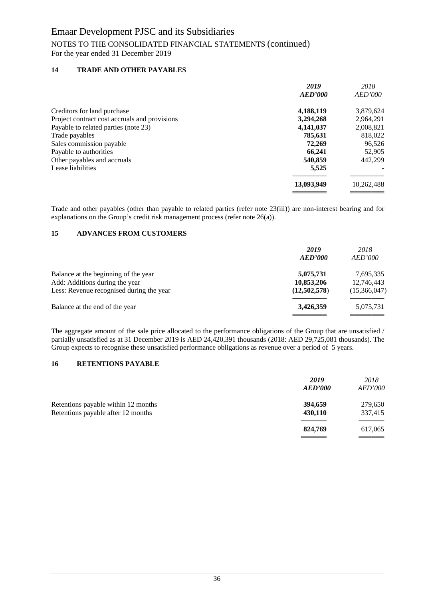## **14 TRADE AND OTHER PAYABLES**

|                                               | 2019           | 2018           |
|-----------------------------------------------|----------------|----------------|
|                                               | <b>AED'000</b> | <b>AED'000</b> |
| Creditors for land purchase                   | 4,188,119      | 3,879,624      |
| Project contract cost accruals and provisions | 3,294,268      | 2,964,291      |
| Payable to related parties (note 23)          | 4,141,037      | 2,008,821      |
| Trade payables                                | 785.631        | 818,022        |
| Sales commission payable                      | 72.269         | 96.526         |
| Payable to authorities                        | 66,241         | 52,905         |
| Other payables and accruals                   | 540,859        | 442.299        |
| Lease liabilities                             | 5,525          |                |
|                                               | 13,093,949     | 10,262,488     |
|                                               |                |                |

Trade and other payables (other than payable to related parties (refer note 23(iii)) are non-interest bearing and for explanations on the Group's credit risk management process (refer note 26(a)).

## **15 ADVANCES FROM CUSTOMERS**

|                                          | 2019<br><b>AED'000</b> | 2018<br>AED'000 |
|------------------------------------------|------------------------|-----------------|
| Balance at the beginning of the year     | 5,075,731              | 7,695,335       |
| Add: Additions during the year           | 10,853,206             | 12,746,443      |
| Less: Revenue recognised during the year | (12,502,578)           | (15,366,047)    |
| Balance at the end of the year           | 3,426,359              | 5,075,731       |
|                                          |                        |                 |

The aggregate amount of the sale price allocated to the performance obligations of the Group that are unsatisfied / partially unsatisfied as at 31 December 2019 is AED 24,420,391 thousands (2018: AED 29,725,081 thousands). The Group expects to recognise these unsatisfied performance obligations as revenue over a period of 5 years.

## **16 RETENTIONS PAYABLE**

|                                                                           | 2019<br>AED'000    | 2018<br>AED'000    |
|---------------------------------------------------------------------------|--------------------|--------------------|
| Retentions payable within 12 months<br>Retentions payable after 12 months | 394,659<br>430,110 | 279,650<br>337,415 |
|                                                                           | 824,769            | 617,065            |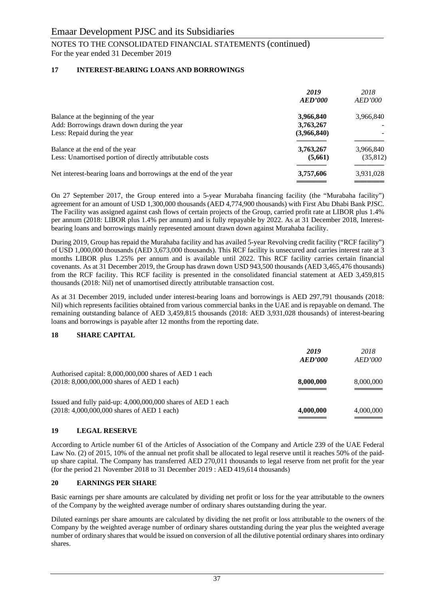## **17 INTEREST-BEARING LOANS AND BORROWINGS**

|                                                                                            | 2019<br>AED'000        | 2018<br><b>AED'000</b> |
|--------------------------------------------------------------------------------------------|------------------------|------------------------|
| Balance at the beginning of the year<br>Add: Borrowings drawn down during the year         | 3,966,840<br>3,763,267 | 3,966,840              |
| Less: Repaid during the year                                                               | (3,966,840)            |                        |
| Balance at the end of the year<br>Less: Unamortised portion of directly attributable costs | 3,763,267<br>(5,661)   | 3,966,840<br>(35, 812) |
| Net interest-bearing loans and borrowings at the end of the year                           | 3,757,606              | 3,931,028              |

On 27 September 2017, the Group entered into a 5-year Murabaha financing facility (the "Murabaha facility") agreement for an amount of USD 1,300,000 thousands (AED 4,774,900 thousands) with First Abu Dhabi Bank PJSC. The Facility was assigned against cash flows of certain projects of the Group, carried profit rate at LIBOR plus 1.4% per annum (2018: LIBOR plus 1.4% per annum) and is fully repayable by 2022. As at 31 December 2018, Interestbearing loans and borrowings mainly represented amount drawn down against Murahaba facility.

During 2019, Group has repaid the Murahaba facility and has availed 5-year Revolving credit facility ("RCF facility") of USD 1,000,000 thousands (AED 3,673,000 thousands). This RCF facility is unsecured and carries interest rate at 3 months LIBOR plus 1.25% per annum and is available until 2022. This RCF facility carries certain financial covenants. As at 31 December 2019, the Group has drawn down USD 943,500 thousands (AED 3,465,476 thousands) from the RCF facility. This RCF facility is presented in the consolidated financial statement at AED 3,459,815 thousands (2018: Nil) net of unamortised directly attributable transaction cost.

As at 31 December 2019, included under interest-bearing loans and borrowings is AED 297,791 thousands (2018: Nil) which represents facilities obtained from various commercial banks in the UAE and is repayable on demand. The remaining outstanding balance of AED 3,459,815 thousands (2018: AED 3,931,028 thousands) of interest-bearing loans and borrowings is payable after 12 months from the reporting date.

## **18 SHARE CAPITAL**

|                                                                                                              | 2019<br>AED'000 | 2018<br>AED'000 |
|--------------------------------------------------------------------------------------------------------------|-----------------|-----------------|
| Authorised capital: 8,000,000,000 shares of AED 1 each<br>$(2018: 8,000,000,000$ shares of AED 1 each)       | 8,000,000       | 8,000,000       |
| Issued and fully paid-up: 4,000,000,000 shares of AED 1 each<br>$(2018: 4,000,000,000$ shares of AED 1 each) | 4,000,000       | 4,000,000       |

## **19 LEGAL RESERVE**

According to Article number 61 of the Articles of Association of the Company and Article 239 of the UAE Federal Law No. (2) of 2015, 10% of the annual net profit shall be allocated to legal reserve until it reaches 50% of the paidup share capital. The Company has transferred AED 270,011 thousands to legal reserve from net profit for the year (for the period 21 November 2018 to 31 December 2019 : AED 419,614 thousands)

## **20 EARNINGS PER SHARE**

Basic earnings per share amounts are calculated by dividing net profit or loss for the year attributable to the owners of the Company by the weighted average number of ordinary shares outstanding during the year.

Diluted earnings per share amounts are calculated by dividing the net profit or loss attributable to the owners of the Company by the weighted average number of ordinary shares outstanding during the year plus the weighted average number of ordinary shares that would be issued on conversion of all the dilutive potential ordinary shares into ordinary shares.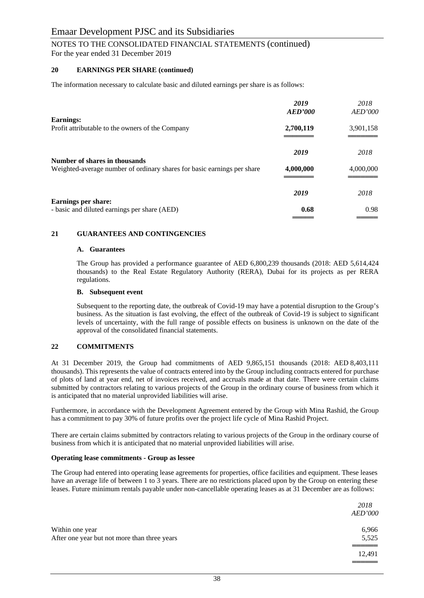## NOTES TO THE CONSOLIDATED FINANCIAL STATEMENTS (continued) For the year ended 31 December 2019

## **20 EARNINGS PER SHARE (continued)**

The information necessary to calculate basic and diluted earnings per share is as follows:

|                                                                         | 2019<br>AED'000 | 2018<br>AED'000 |
|-------------------------------------------------------------------------|-----------------|-----------------|
| <b>Earnings:</b><br>Profit attributable to the owners of the Company    | 2,700,119       | 3,901,158       |
| Number of shares in thousands                                           | 2019            | 2018            |
| Weighted-average number of ordinary shares for basic earnings per share | 4,000,000       | 4,000,000       |
| <b>Earnings per share:</b>                                              | 2019            | 2018            |
| - basic and diluted earnings per share (AED)                            | 0.68            | 0.98            |

## **21 GUARANTEES AND CONTINGENCIES**

#### **A. Guarantees**

The Group has provided a performance guarantee of AED 6,800,239 thousands (2018: AED 5,614,424 thousands) to the Real Estate Regulatory Authority (RERA), Dubai for its projects as per RERA regulations.

#### **B. Subsequent event**

Subsequent to the reporting date, the outbreak of Covid-19 may have a potential disruption to the Group's business. As the situation is fast evolving, the effect of the outbreak of Covid-19 is subject to significant levels of uncertainty, with the full range of possible effects on business is unknown on the date of the approval of the consolidated financial statements.

#### **22 COMMITMENTS**

At 31 December 2019, the Group had commitments of AED 9,865,151 thousands (2018: AED 8,403,111 thousands). This represents the value of contracts entered into by the Group including contracts entered for purchase of plots of land at year end, net of invoices received, and accruals made at that date. There were certain claims submitted by contractors relating to various projects of the Group in the ordinary course of business from which it is anticipated that no material unprovided liabilities will arise.

Furthermore, in accordance with the Development Agreement entered by the Group with Mina Rashid, the Group has a commitment to pay 30% of future profits over the project life cycle of Mina Rashid Project.

There are certain claims submitted by contractors relating to various projects of the Group in the ordinary course of business from which it is anticipated that no material unprovided liabilities will arise.

#### **Operating lease commitments - Group as lessee**

The Group had entered into operating lease agreements for properties, office facilities and equipment. These leases have an average life of between 1 to 3 years. There are no restrictions placed upon by the Group on entering these leases. Future minimum rentals payable under non-cancellable operating leases as at 31 December are as follows:

|                                              | 2018<br>AED'000 |
|----------------------------------------------|-----------------|
| Within one year                              | 6,966           |
| After one year but not more than three years | 5,525<br>_____  |
|                                              | 12,491          |
|                                              |                 |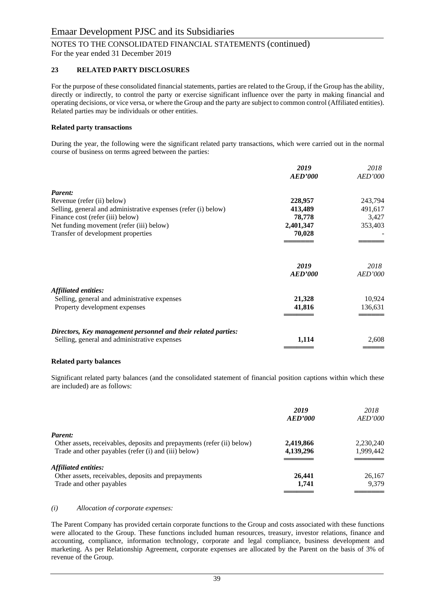## **23 RELATED PARTY DISCLOSURES**

For the purpose of these consolidated financial statements, parties are related to the Group, if the Group has the ability, directly or indirectly, to control the party or exercise significant influence over the party in making financial and operating decisions, or vice versa, or where the Group and the party are subject to common control (Affiliated entities). Related parties may be individuals or other entities.

## **Related party transactions**

During the year, the following were the significant related party transactions, which were carried out in the normal course of business on terms agreed between the parties:

|                                                                | 2019<br><b>AED'000</b> | 2018<br><b>AED'000</b> |
|----------------------------------------------------------------|------------------------|------------------------|
| <b>Parent:</b>                                                 |                        |                        |
| Revenue (refer (ii) below)                                     | 228,957                | 243,794                |
| Selling, general and administrative expenses (refer (i) below) | 413,489                | 491,617                |
| Finance cost (refer (iii) below)                               | 78,778                 | 3,427                  |
| Net funding movement (refer (iii) below)                       | 2,401,347              | 353,403                |
| Transfer of development properties                             | 70,028                 |                        |
|                                                                | 2019<br><b>AED'000</b> | 2018<br>AED'000        |
| <b>Affiliated entities:</b>                                    |                        |                        |
| Selling, general and administrative expenses                   | 21,328                 | 10,924                 |
| Property development expenses                                  | 41,816                 | 136,631                |
| Directors, Key management personnel and their related parties: |                        |                        |
| Selling, general and administrative expenses                   | 1,114                  | 2,608                  |
|                                                                |                        |                        |

## **Related party balances**

Significant related party balances (and the consolidated statement of financial position captions within which these are included) are as follows:

| 2019<br>AED'000 | 2018<br><b>AED'000</b> |
|-----------------|------------------------|
|                 |                        |
| 2,419,866       | 2,230,240              |
| 4,139,296       | 1,999,442              |
|                 |                        |
| 26,441          | 26,167                 |
| 1,741           | 9,379                  |
|                 |                        |

## *(i) Allocation of corporate expenses:*

The Parent Company has provided certain corporate functions to the Group and costs associated with these functions were allocated to the Group. These functions included human resources, treasury, investor relations, finance and accounting, compliance, information technology, corporate and legal compliance, business development and marketing. As per Relationship Agreement, corporate expenses are allocated by the Parent on the basis of 3% of revenue of the Group.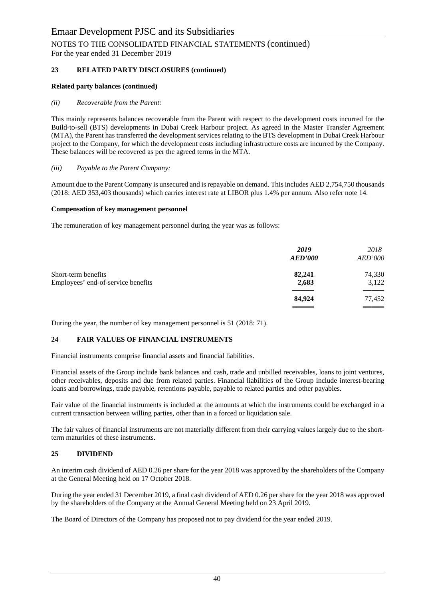## NOTES TO THE CONSOLIDATED FINANCIAL STATEMENTS (continued) For the year ended 31 December 2019

## **23 RELATED PARTY DISCLOSURES (continued)**

## **Related party balances (continued)**

## *(ii) Recoverable from the Parent:*

This mainly represents balances recoverable from the Parent with respect to the development costs incurred for the Build-to-sell (BTS) developments in Dubai Creek Harbour project. As agreed in the Master Transfer Agreement (MTA), the Parent has transferred the development services relating to the BTS development in Dubai Creek Harbour project to the Company, for which the development costs including infrastructure costs are incurred by the Company. These balances will be recovered as per the agreed terms in the MTA.

#### *(iii) Payable to the Parent Company:*

Amount due to the Parent Company is unsecured and is repayable on demand. This includes AED 2,754,750 thousands (2018: AED 353,403 thousands) which carries interest rate at LIBOR plus 1.4% per annum. Also refer note 14.

## **Compensation of key management personnel**

The remuneration of key management personnel during the year was as follows:

|                                                           | 2019<br><b>AED'000</b> | 2018<br><b>AED'000</b> |
|-----------------------------------------------------------|------------------------|------------------------|
| Short-term benefits<br>Employees' end-of-service benefits | 82,241<br>2,683        | 74,330<br>3,122        |
|                                                           | 84,924                 | 77,452                 |

During the year, the number of key management personnel is 51 (2018: 71).

#### **24 FAIR VALUES OF FINANCIAL INSTRUMENTS**

Financial instruments comprise financial assets and financial liabilities.

Financial assets of the Group include bank balances and cash, trade and unbilled receivables, loans to joint ventures, other receivables, deposits and due from related parties. Financial liabilities of the Group include interest-bearing loans and borrowings, trade payable, retentions payable, payable to related parties and other payables.

Fair value of the financial instruments is included at the amounts at which the instruments could be exchanged in a current transaction between willing parties, other than in a forced or liquidation sale.

The fair values of financial instruments are not materially different from their carrying values largely due to the shortterm maturities of these instruments.

## **25 DIVIDEND**

An interim cash dividend of AED 0.26 per share for the year 2018 was approved by the shareholders of the Company at the General Meeting held on 17 October 2018.

During the year ended 31 December 2019, a final cash dividend of AED 0.26 per share for the year 2018 was approved by the shareholders of the Company at the Annual General Meeting held on 23 April 2019.

The Board of Directors of the Company has proposed not to pay dividend for the year ended 2019.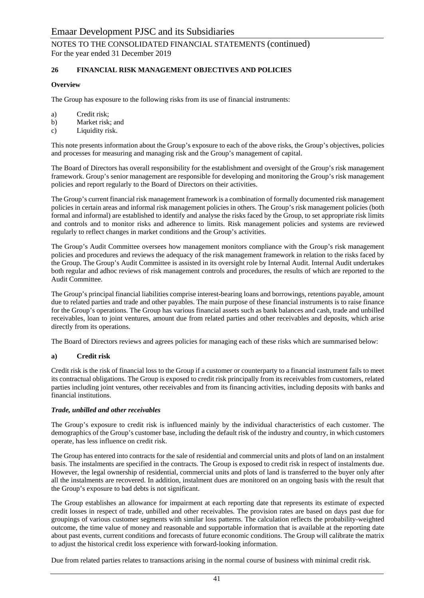## **26 FINANCIAL RISK MANAGEMENT OBJECTIVES AND POLICIES**

## **Overview**

The Group has exposure to the following risks from its use of financial instruments:

- a) Credit risk;<br>b) Market risk
- Market risk; and
- c) Liquidity risk.

This note presents information about the Group's exposure to each of the above risks, the Group's objectives, policies and processes for measuring and managing risk and the Group's management of capital.

The Board of Directors has overall responsibility for the establishment and oversight of the Group's risk management framework. Group's senior management are responsible for developing and monitoring the Group's risk management policies and report regularly to the Board of Directors on their activities.

The Group's current financial risk management framework is a combination of formally documented risk management policies in certain areas and informal risk management policies in others. The Group's risk management policies (both formal and informal) are established to identify and analyse the risks faced by the Group, to set appropriate risk limits and controls and to monitor risks and adherence to limits. Risk management policies and systems are reviewed regularly to reflect changes in market conditions and the Group's activities.

The Group's Audit Committee oversees how management monitors compliance with the Group's risk management policies and procedures and reviews the adequacy of the risk management framework in relation to the risks faced by the Group. The Group's Audit Committee is assisted in its oversight role by Internal Audit. Internal Audit undertakes both regular and adhoc reviews of risk management controls and procedures, the results of which are reported to the Audit Committee.

The Group's principal financial liabilities comprise interest-bearing loans and borrowings, retentions payable, amount due to related parties and trade and other payables. The main purpose of these financial instruments is to raise finance for the Group's operations. The Group has various financial assets such as bank balances and cash, trade and unbilled receivables, loan to joint ventures, amount due from related parties and other receivables and deposits, which arise directly from its operations.

The Board of Directors reviews and agrees policies for managing each of these risks which are summarised below:

## **a) Credit risk**

Credit risk is the risk of financial loss to the Group if a customer or counterparty to a financial instrument fails to meet its contractual obligations. The Group is exposed to credit risk principally from its receivables from customers, related parties including joint ventures, other receivables and from its financing activities, including deposits with banks and financial institutions.

## *Trade, unbilled and other receivables*

The Group's exposure to credit risk is influenced mainly by the individual characteristics of each customer. The demographics of the Group's customer base, including the default risk of the industry and country, in which customers operate, has less influence on credit risk.

The Group has entered into contracts for the sale of residential and commercial units and plots of land on an instalment basis. The instalments are specified in the contracts. The Group is exposed to credit risk in respect of instalments due. However, the legal ownership of residential, commercial units and plots of land is transferred to the buyer only after all the instalments are recovered. In addition, instalment dues are monitored on an ongoing basis with the result that the Group's exposure to bad debts is not significant.

The Group establishes an allowance for impairment at each reporting date that represents its estimate of expected credit losses in respect of trade, unbilled and other receivables. The provision rates are based on days past due for groupings of various customer segments with similar loss patterns. The calculation reflects the probability-weighted outcome, the time value of money and reasonable and supportable information that is available at the reporting date about past events, current conditions and forecasts of future economic conditions. The Group will calibrate the matrix to adjust the historical credit loss experience with forward-looking information.

Due from related parties relates to transactions arising in the normal course of business with minimal credit risk.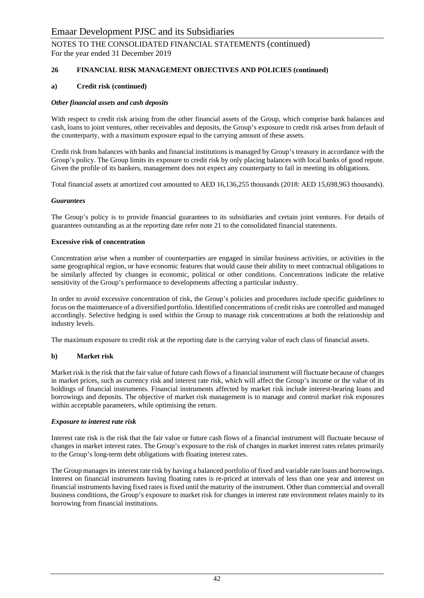## **26 FINANCIAL RISK MANAGEMENT OBJECTIVES AND POLICIES (continued)**

## **a) Credit risk (continued)**

## *Other financial assets and cash deposits*

With respect to credit risk arising from the other financial assets of the Group, which comprise bank balances and cash, loans to joint ventures, other receivables and deposits, the Group's exposure to credit risk arises from default of the counterparty, with a maximum exposure equal to the carrying amount of these assets.

Credit risk from balances with banks and financial institutions is managed by Group's treasury in accordance with the Group's policy. The Group limits its exposure to credit risk by only placing balances with local banks of good repute. Given the profile of its bankers, management does not expect any counterparty to fail in meeting its obligations.

Total financial assets at amortized cost amounted to AED 16,136,255 thousands (2018: AED 15,698,963 thousands).

## *Guarantees*

The Group's policy is to provide financial guarantees to its subsidiaries and certain joint ventures. For details of guarantees outstanding as at the reporting date refer note 21 to the consolidated financial statements.

## **Excessive risk of concentration**

Concentration arise when a number of counterparties are engaged in similar business activities, or activities in the same geographical region, or have economic features that would cause their ability to meet contractual obligations to be similarly affected by changes in economic, political or other conditions. Concentrations indicate the relative sensitivity of the Group's performance to developments affecting a particular industry.

In order to avoid excessive concentration of risk, the Group's policies and procedures include specific guidelines to focus on the maintenance of a diversified portfolio. Identified concentrations of credit risks are controlled and managed accordingly. Selective hedging is used within the Group to manage risk concentrations at both the relationship and industry levels.

The maximum exposure to credit risk at the reporting date is the carrying value of each class of financial assets.

## **b) Market risk**

Market risk is the risk that the fair value of future cash flows of a financial instrument will fluctuate because of changes in market prices, such as currency risk and interest rate risk, which will affect the Group's income or the value of its holdings of financial instruments. Financial instruments affected by market risk include interest-bearing loans and borrowings and deposits. The objective of market risk management is to manage and control market risk exposures within acceptable parameters, while optimising the return.

## *Exposure to interest rate risk*

Interest rate risk is the risk that the fair value or future cash flows of a financial instrument will fluctuate because of changes in market interest rates. The Group's exposure to the risk of changes in market interest rates relates primarily to the Group's long-term debt obligations with floating interest rates.

The Group manages its interest rate risk by having a balanced portfolio of fixed and variable rate loans and borrowings. Interest on financial instruments having floating rates is re-priced at intervals of less than one year and interest on financial instruments having fixed rates is fixed until the maturity of the instrument. Other than commercial and overall business conditions, the Group's exposure to market risk for changes in interest rate environment relates mainly to its borrowing from financial institutions.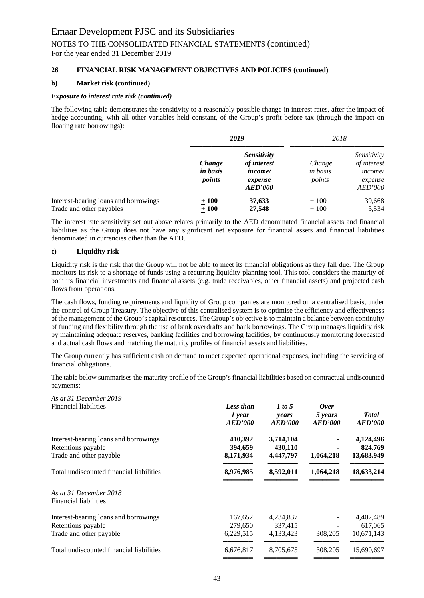## NOTES TO THE CONSOLIDATED FINANCIAL STATEMENTS (continued) For the year ended 31 December 2019

## **26 FINANCIAL RISK MANAGEMENT OBJECTIVES AND POLICIES (continued)**

#### **b) Market risk (continued)**

#### *Exposure to interest rate risk (continued)*

The following table demonstrates the sensitivity to a reasonably possible change in interest rates, after the impact of hedge accounting, with all other variables held constant, of the Group's profit before tax (through the impact on floating rate borrowings):

|                                                                   | 2019                         |                                                                                         | 2018                         |                                                                           |
|-------------------------------------------------------------------|------------------------------|-----------------------------------------------------------------------------------------|------------------------------|---------------------------------------------------------------------------|
|                                                                   | Change<br>in basis<br>points | <b>Sensitivity</b><br><i>of interest</i><br><i>income/</i><br>expense<br><b>AED'000</b> | Change<br>in basis<br>points | Sensitivity<br><i>of interest</i><br>income/<br>expense<br><b>AED'000</b> |
| Interest-bearing loans and borrowings<br>Trade and other payables | $\pm 100$<br>$\pm 100$       | 37,633<br>27,548                                                                        | $+100$<br>$+100$             | 39,668<br>3,534                                                           |

The interest rate sensitivity set out above relates primarily to the AED denominated financial assets and financial liabilities as the Group does not have any significant net exposure for financial assets and financial liabilities denominated in currencies other than the AED.

#### **c) Liquidity risk**

Liquidity risk is the risk that the Group will not be able to meet its financial obligations as they fall due. The Group monitors its risk to a shortage of funds using a recurring liquidity planning tool. This tool considers the maturity of both its financial investments and financial assets (e.g. trade receivables, other financial assets) and projected cash flows from operations.

The cash flows, funding requirements and liquidity of Group companies are monitored on a centralised basis, under the control of Group Treasury. The objective of this centralised system is to optimise the efficiency and effectiveness of the management of the Group's capital resources. The Group's objective is to maintain a balance between continuity of funding and flexibility through the use of bank overdrafts and bank borrowings. The Group manages liquidity risk by maintaining adequate reserves, banking facilities and borrowing facilities, by continuously monitoring forecasted and actual cash flows and matching the maturity profiles of financial assets and liabilities.

The Group currently has sufficient cash on demand to meet expected operational expenses, including the servicing of financial obligations.

The table below summarises the maturity profile of the Group's financial liabilities based on contractual undiscounted payments:

| As at 31 December 2019<br><b>Financial liabilities</b> | Less than         | 1 to 5           | Over                      |                                |
|--------------------------------------------------------|-------------------|------------------|---------------------------|--------------------------------|
|                                                        | 1 year<br>AED'000 | years<br>AED'000 | 5 years<br><b>AED'000</b> | <b>Total</b><br><b>AED'000</b> |
| Interest-bearing loans and borrowings                  | 410,392           | 3,714,104        |                           | 4,124,496                      |
| Retentions payable                                     | 394,659           | 430,110          |                           | 824,769                        |
| Trade and other payable                                | 8,171,934         | 4,447,797        | 1,064,218                 | 13,683,949                     |
| Total undiscounted financial liabilities               | 8,976,985         | 8,592,011        | 1,064,218                 | 18,633,214                     |
| As at 31 December 2018<br><b>Financial liabilities</b> |                   |                  |                           |                                |
| Interest-bearing loans and borrowings                  | 167,652           | 4,234,837        |                           | 4,402,489                      |
| Retentions payable                                     | 279,650           | 337,415          |                           | 617,065                        |
| Trade and other payable                                | 6,229,515         | 4,133,423        | 308,205                   | 10,671,143                     |
| Total undiscounted financial liabilities               | 6,676,817         | 8,705,675        | 308,205                   | 15,690,697                     |
|                                                        |                   |                  |                           |                                |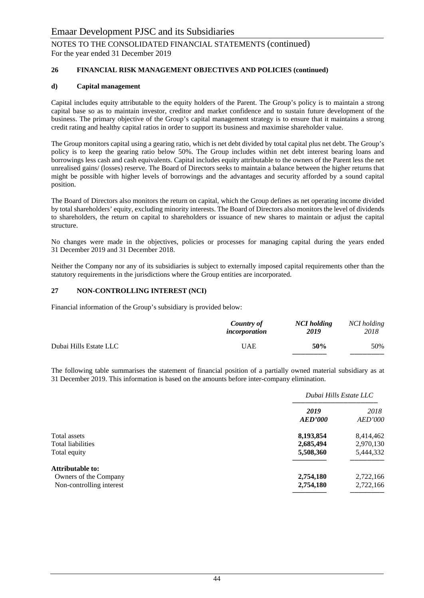## **26 FINANCIAL RISK MANAGEMENT OBJECTIVES AND POLICIES (continued)**

## **d) Capital management**

Capital includes equity attributable to the equity holders of the Parent. The Group's policy is to maintain a strong capital base so as to maintain investor, creditor and market confidence and to sustain future development of the business. The primary objective of the Group's capital management strategy is to ensure that it maintains a strong credit rating and healthy capital ratios in order to support its business and maximise shareholder value.

The Group monitors capital using a gearing ratio, which is net debt divided by total capital plus net debt. The Group's policy is to keep the gearing ratio below 50%. The Group includes within net debt interest bearing loans and borrowings less cash and cash equivalents. Capital includes equity attributable to the owners of the Parent less the net unrealised gains/ (losses) reserve. The Board of Directors seeks to maintain a balance between the higher returns that might be possible with higher levels of borrowings and the advantages and security afforded by a sound capital position.

The Board of Directors also monitors the return on capital, which the Group defines as net operating income divided by total shareholders' equity, excluding minority interests. The Board of Directors also monitors the level of dividends to shareholders, the return on capital to shareholders or issuance of new shares to maintain or adjust the capital structure.

No changes were made in the objectives, policies or processes for managing capital during the years ended 31 December 2019 and 31 December 2018.

Neither the Company nor any of its subsidiaries is subject to externally imposed capital requirements other than the statutory requirements in the jurisdictions where the Group entities are incorporated.

## **27 NON-CONTROLLING INTEREST (NCI)**

Financial information of the Group's subsidiary is provided below:

|                        | Country of    | NCI holding | NCI holding |
|------------------------|---------------|-------------|-------------|
|                        | incorporation | 2019        | 2018        |
| Dubai Hills Estate LLC | <b>UAE</b>    | 50%         | 50%         |

The following table summarises the statement of financial position of a partially owned material subsidiary as at 31 December 2019. This information is based on the amounts before inter-company elimination.

|                          |                        | Dubai Hills Estate LLC |  |
|--------------------------|------------------------|------------------------|--|
|                          | 2019<br><b>AED'000</b> | 2018<br><b>AED'000</b> |  |
| Total assets             | 8,193,854              | 8,414,462              |  |
| <b>Total liabilities</b> | 2,685,494              | 2,970,130              |  |
| Total equity             | 5,508,360              | 5,444,332              |  |
| Attributable to:         |                        |                        |  |
| Owners of the Company    | 2,754,180              | 2,722,166              |  |
| Non-controlling interest | 2,754,180              | 2,722,166              |  |
|                          |                        |                        |  |